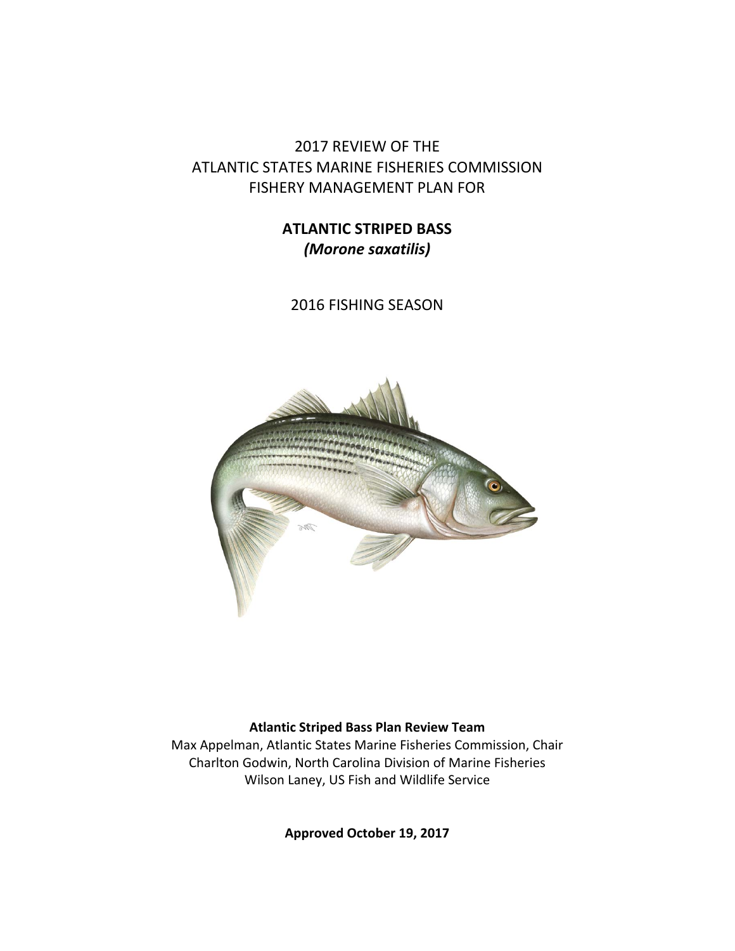# 2017 REVIEW OF THE ATLANTIC STATES MARINE FISHERIES COMMISSION FISHERY MANAGEMENT PLAN FOR

# **ATLANTIC STRIPED BASS** *(Morone saxatilis)*

2016 FISHING SEASON



#### **Atlantic Striped Bass Plan Review Team**

Max Appelman, Atlantic States Marine Fisheries Commission, Chair Charlton Godwin, North Carolina Division of Marine Fisheries Wilson Laney, US Fish and Wildlife Service

**Approved October 19, 2017**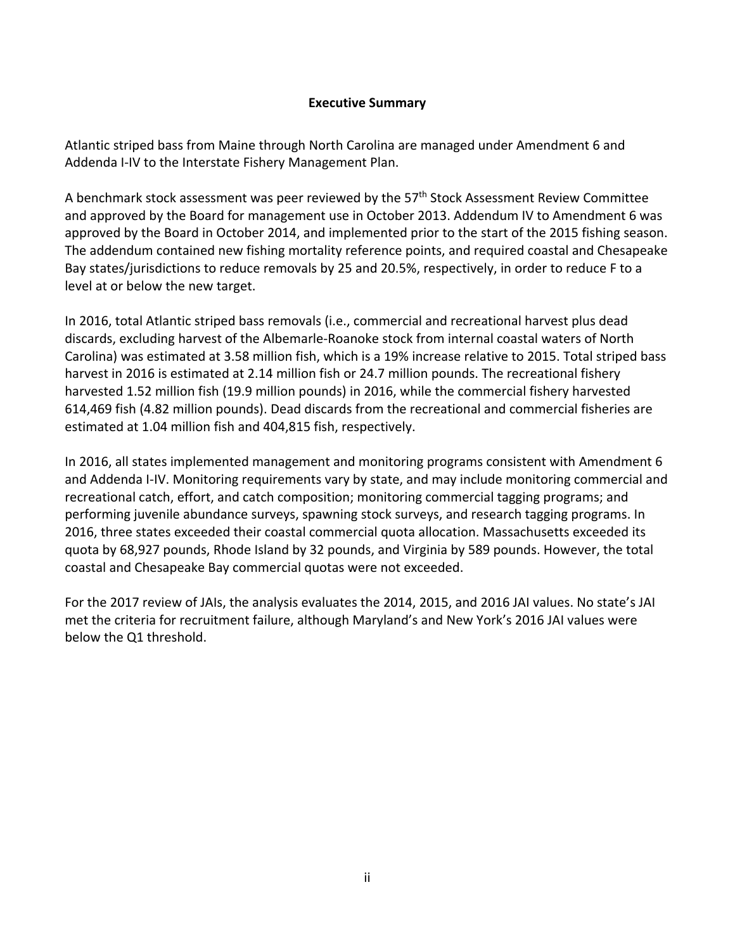#### **Executive Summary**

Atlantic striped bass from Maine through North Carolina are managed under Amendment 6 and Addenda I‐IV to the Interstate Fishery Management Plan.

A benchmark stock assessment was peer reviewed by the 57<sup>th</sup> Stock Assessment Review Committee and approved by the Board for management use in October 2013. Addendum IV to Amendment 6 was approved by the Board in October 2014, and implemented prior to the start of the 2015 fishing season. The addendum contained new fishing mortality reference points, and required coastal and Chesapeake Bay states/jurisdictions to reduce removals by 25 and 20.5%, respectively, in order to reduce F to a level at or below the new target.

In 2016, total Atlantic striped bass removals (i.e., commercial and recreational harvest plus dead discards, excluding harvest of the Albemarle‐Roanoke stock from internal coastal waters of North Carolina) was estimated at 3.58 million fish, which is a 19% increase relative to 2015. Total striped bass harvest in 2016 is estimated at 2.14 million fish or 24.7 million pounds. The recreational fishery harvested 1.52 million fish (19.9 million pounds) in 2016, while the commercial fishery harvested 614,469 fish (4.82 million pounds). Dead discards from the recreational and commercial fisheries are estimated at 1.04 million fish and 404,815 fish, respectively.

In 2016, all states implemented management and monitoring programs consistent with Amendment 6 and Addenda I-IV. Monitoring requirements vary by state, and may include monitoring commercial and recreational catch, effort, and catch composition; monitoring commercial tagging programs; and performing juvenile abundance surveys, spawning stock surveys, and research tagging programs. In 2016, three states exceeded their coastal commercial quota allocation. Massachusetts exceeded its quota by 68,927 pounds, Rhode Island by 32 pounds, and Virginia by 589 pounds. However, the total coastal and Chesapeake Bay commercial quotas were not exceeded.

For the 2017 review of JAIs, the analysis evaluates the 2014, 2015, and 2016 JAI values. No state's JAI met the criteria for recruitment failure, although Maryland's and New York's 2016 JAI values were below the Q1 threshold.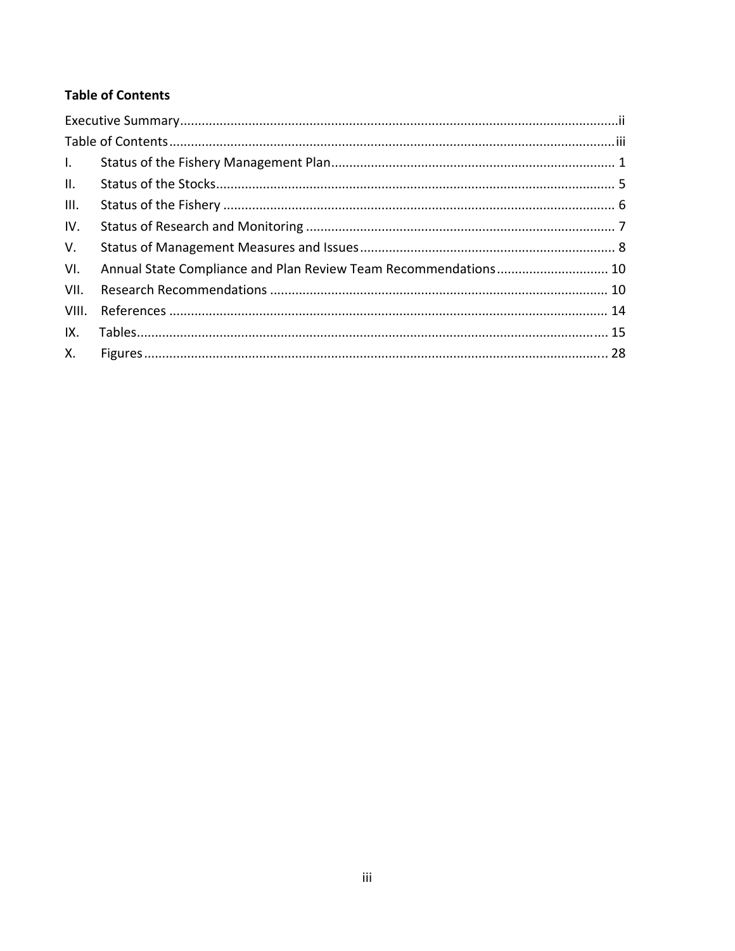# **Table of Contents**

| $\mathbf{L}$    |                                                                 |  |  |  |  |  |  |  |
|-----------------|-----------------------------------------------------------------|--|--|--|--|--|--|--|
| $\mathbf{II}$ . |                                                                 |  |  |  |  |  |  |  |
| III.            |                                                                 |  |  |  |  |  |  |  |
| IV.             |                                                                 |  |  |  |  |  |  |  |
| V.              |                                                                 |  |  |  |  |  |  |  |
| VI.             | Annual State Compliance and Plan Review Team Recommendations 10 |  |  |  |  |  |  |  |
| VII.            |                                                                 |  |  |  |  |  |  |  |
| VIII.           |                                                                 |  |  |  |  |  |  |  |
| IX.             |                                                                 |  |  |  |  |  |  |  |
|                 |                                                                 |  |  |  |  |  |  |  |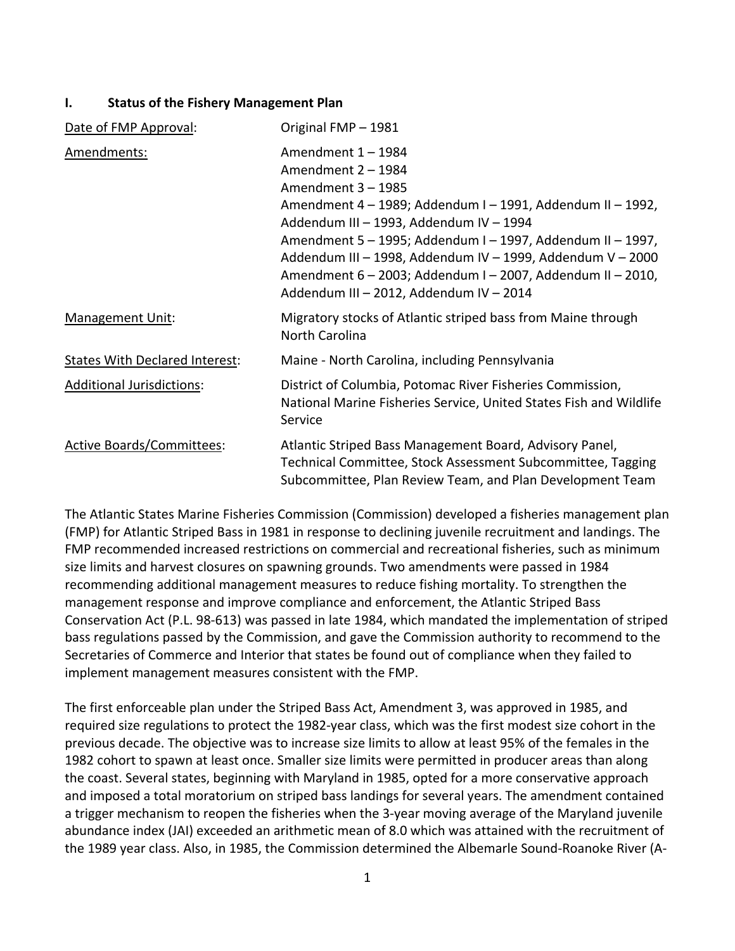#### **I. Status of the Fishery Management Plan**

| Date of FMP Approval:          | Original FMP - 1981                                                                                                                                                                                                                                                                                                                                                                                          |
|--------------------------------|--------------------------------------------------------------------------------------------------------------------------------------------------------------------------------------------------------------------------------------------------------------------------------------------------------------------------------------------------------------------------------------------------------------|
| Amendments:                    | Amendment 1 - 1984<br>Amendment 2 - 1984<br>Amendment 3 - 1985<br>Amendment 4 - 1989; Addendum I - 1991, Addendum II - 1992,<br>Addendum III - 1993, Addendum IV - 1994<br>Amendment 5 - 1995; Addendum I - 1997, Addendum II - 1997,<br>Addendum III - 1998, Addendum IV - 1999, Addendum V - 2000<br>Amendment 6 - 2003; Addendum I - 2007, Addendum II - 2010,<br>Addendum III - 2012, Addendum IV - 2014 |
| <b>Management Unit:</b>        | Migratory stocks of Atlantic striped bass from Maine through<br>North Carolina                                                                                                                                                                                                                                                                                                                               |
| States With Declared Interest: | Maine - North Carolina, including Pennsylvania                                                                                                                                                                                                                                                                                                                                                               |
| Additional Jurisdictions:      | District of Columbia, Potomac River Fisheries Commission,<br>National Marine Fisheries Service, United States Fish and Wildlife<br>Service                                                                                                                                                                                                                                                                   |
| Active Boards/Committees:      | Atlantic Striped Bass Management Board, Advisory Panel,<br>Technical Committee, Stock Assessment Subcommittee, Tagging<br>Subcommittee, Plan Review Team, and Plan Development Team                                                                                                                                                                                                                          |

The Atlantic States Marine Fisheries Commission (Commission) developed a fisheries management plan (FMP) for Atlantic Striped Bass in 1981 in response to declining juvenile recruitment and landings. The FMP recommended increased restrictions on commercial and recreational fisheries, such as minimum size limits and harvest closures on spawning grounds. Two amendments were passed in 1984 recommending additional management measures to reduce fishing mortality. To strengthen the management response and improve compliance and enforcement, the Atlantic Striped Bass Conservation Act (P.L. 98‐613) was passed in late 1984, which mandated the implementation of striped bass regulations passed by the Commission, and gave the Commission authority to recommend to the Secretaries of Commerce and Interior that states be found out of compliance when they failed to implement management measures consistent with the FMP.

The first enforceable plan under the Striped Bass Act, Amendment 3, was approved in 1985, and required size regulations to protect the 1982‐year class, which was the first modest size cohort in the previous decade. The objective was to increase size limits to allow at least 95% of the females in the 1982 cohort to spawn at least once. Smaller size limits were permitted in producer areas than along the coast. Several states, beginning with Maryland in 1985, opted for a more conservative approach and imposed a total moratorium on striped bass landings for several years. The amendment contained a trigger mechanism to reopen the fisheries when the 3-year moving average of the Maryland juvenile abundance index (JAI) exceeded an arithmetic mean of 8.0 which was attained with the recruitment of the 1989 year class. Also, in 1985, the Commission determined the Albemarle Sound‐Roanoke River (A‐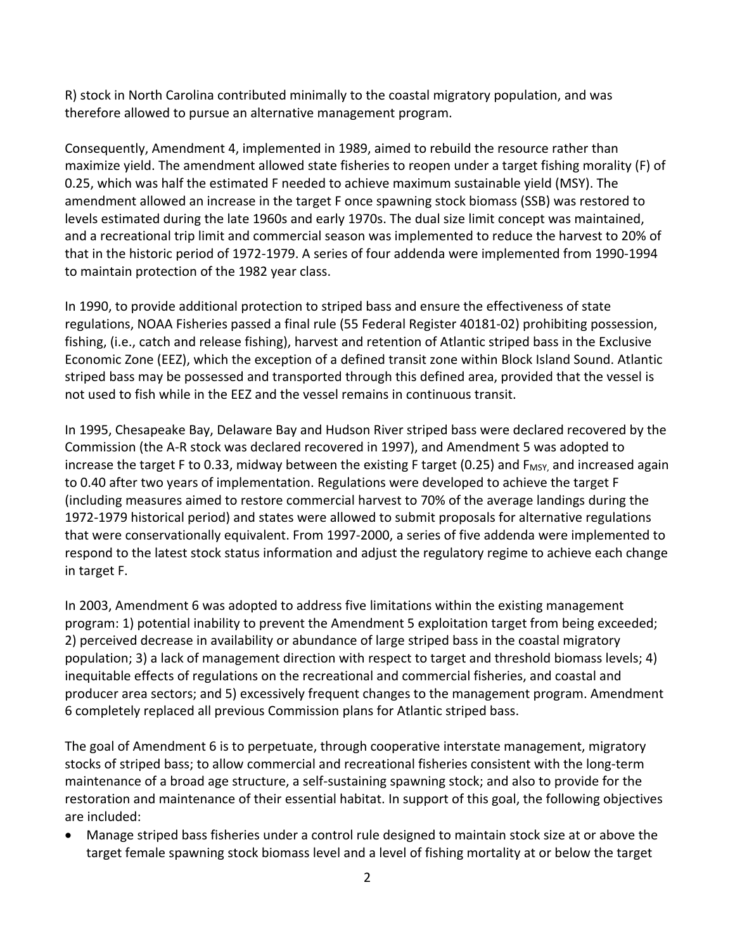R) stock in North Carolina contributed minimally to the coastal migratory population, and was therefore allowed to pursue an alternative management program.

Consequently, Amendment 4, implemented in 1989, aimed to rebuild the resource rather than maximize yield. The amendment allowed state fisheries to reopen under a target fishing morality (F) of 0.25, which was half the estimated F needed to achieve maximum sustainable yield (MSY). The amendment allowed an increase in the target F once spawning stock biomass (SSB) was restored to levels estimated during the late 1960s and early 1970s. The dual size limit concept was maintained, and a recreational trip limit and commercial season was implemented to reduce the harvest to 20% of that in the historic period of 1972‐1979. A series of four addenda were implemented from 1990‐1994 to maintain protection of the 1982 year class.

In 1990, to provide additional protection to striped bass and ensure the effectiveness of state regulations, NOAA Fisheries passed a final rule (55 Federal Register 40181‐02) prohibiting possession, fishing, (i.e., catch and release fishing), harvest and retention of Atlantic striped bass in the Exclusive Economic Zone (EEZ), which the exception of a defined transit zone within Block Island Sound. Atlantic striped bass may be possessed and transported through this defined area, provided that the vessel is not used to fish while in the EEZ and the vessel remains in continuous transit.

In 1995, Chesapeake Bay, Delaware Bay and Hudson River striped bass were declared recovered by the Commission (the A‐R stock was declared recovered in 1997), and Amendment 5 was adopted to increase the target F to 0.33, midway between the existing F target (0.25) and F<sub>MSY</sub>, and increased again to 0.40 after two years of implementation. Regulations were developed to achieve the target F (including measures aimed to restore commercial harvest to 70% of the average landings during the 1972‐1979 historical period) and states were allowed to submit proposals for alternative regulations that were conservationally equivalent. From 1997‐2000, a series of five addenda were implemented to respond to the latest stock status information and adjust the regulatory regime to achieve each change in target F.

In 2003, Amendment 6 was adopted to address five limitations within the existing management program: 1) potential inability to prevent the Amendment 5 exploitation target from being exceeded; 2) perceived decrease in availability or abundance of large striped bass in the coastal migratory population; 3) a lack of management direction with respect to target and threshold biomass levels; 4) inequitable effects of regulations on the recreational and commercial fisheries, and coastal and producer area sectors; and 5) excessively frequent changes to the management program. Amendment 6 completely replaced all previous Commission plans for Atlantic striped bass.

The goal of Amendment 6 is to perpetuate, through cooperative interstate management, migratory stocks of striped bass; to allow commercial and recreational fisheries consistent with the long-term maintenance of a broad age structure, a self‐sustaining spawning stock; and also to provide for the restoration and maintenance of their essential habitat. In support of this goal, the following objectives are included:

 Manage striped bass fisheries under a control rule designed to maintain stock size at or above the target female spawning stock biomass level and a level of fishing mortality at or below the target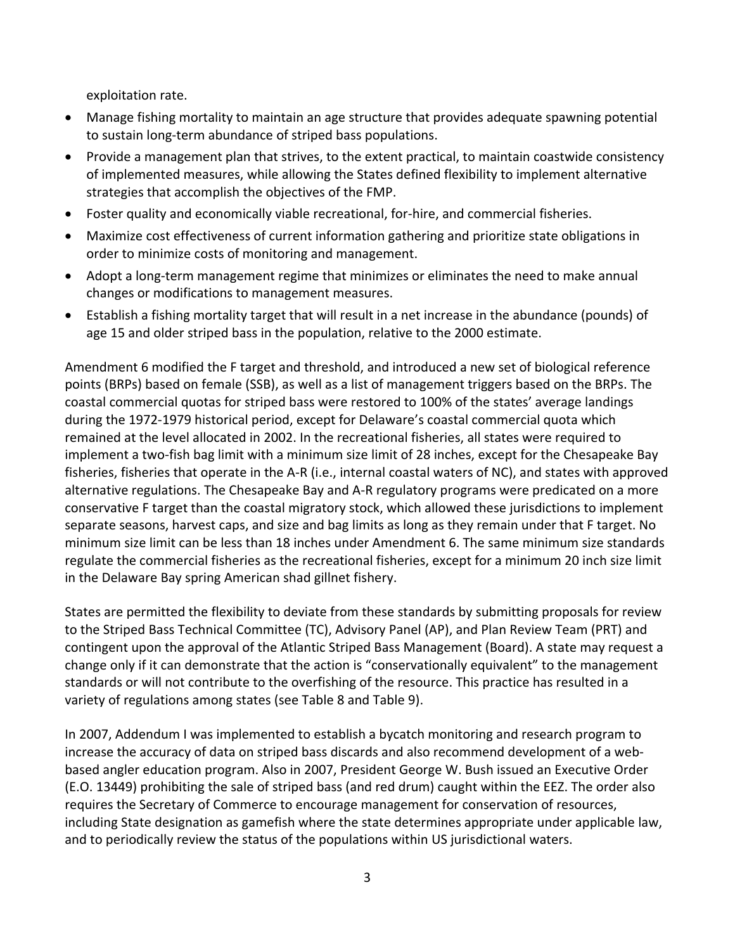exploitation rate.

- Manage fishing mortality to maintain an age structure that provides adequate spawning potential to sustain long‐term abundance of striped bass populations.
- Provide a management plan that strives, to the extent practical, to maintain coastwide consistency of implemented measures, while allowing the States defined flexibility to implement alternative strategies that accomplish the objectives of the FMP.
- Foster quality and economically viable recreational, for‐hire, and commercial fisheries.
- Maximize cost effectiveness of current information gathering and prioritize state obligations in order to minimize costs of monitoring and management.
- Adopt a long-term management regime that minimizes or eliminates the need to make annual changes or modifications to management measures.
- Establish a fishing mortality target that will result in a net increase in the abundance (pounds) of age 15 and older striped bass in the population, relative to the 2000 estimate.

Amendment 6 modified the F target and threshold, and introduced a new set of biological reference points (BRPs) based on female (SSB), as well as a list of management triggers based on the BRPs. The coastal commercial quotas for striped bass were restored to 100% of the states' average landings during the 1972‐1979 historical period, except for Delaware's coastal commercial quota which remained at the level allocated in 2002. In the recreational fisheries, all states were required to implement a two-fish bag limit with a minimum size limit of 28 inches, except for the Chesapeake Bay fisheries, fisheries that operate in the A‐R (i.e., internal coastal waters of NC), and states with approved alternative regulations. The Chesapeake Bay and A‐R regulatory programs were predicated on a more conservative F target than the coastal migratory stock, which allowed these jurisdictions to implement separate seasons, harvest caps, and size and bag limits as long as they remain under that F target. No minimum size limit can be less than 18 inches under Amendment 6. The same minimum size standards regulate the commercial fisheries as the recreational fisheries, except for a minimum 20 inch size limit in the Delaware Bay spring American shad gillnet fishery.

States are permitted the flexibility to deviate from these standards by submitting proposals for review to the Striped Bass Technical Committee (TC), Advisory Panel (AP), and Plan Review Team (PRT) and contingent upon the approval of the Atlantic Striped Bass Management (Board). A state may request a change only if it can demonstrate that the action is "conservationally equivalent" to the management standards or will not contribute to the overfishing of the resource. This practice has resulted in a variety of regulations among states (see Table 8 and Table 9).

In 2007, Addendum I was implemented to establish a bycatch monitoring and research program to increase the accuracy of data on striped bass discards and also recommend development of a web‐ based angler education program. Also in 2007, President George W. Bush issued an Executive Order (E.O. 13449) prohibiting the sale of striped bass (and red drum) caught within the EEZ. The order also requires the Secretary of Commerce to encourage management for conservation of resources, including State designation as gamefish where the state determines appropriate under applicable law, and to periodically review the status of the populations within US jurisdictional waters.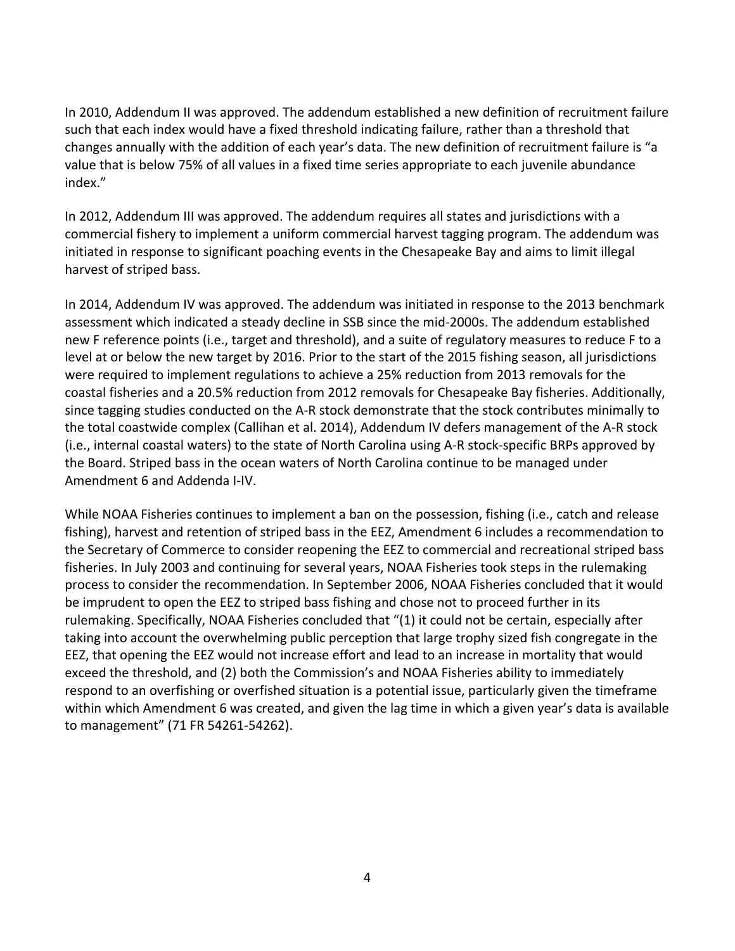In 2010, Addendum II was approved. The addendum established a new definition of recruitment failure such that each index would have a fixed threshold indicating failure, rather than a threshold that changes annually with the addition of each year's data. The new definition of recruitment failure is "a value that is below 75% of all values in a fixed time series appropriate to each juvenile abundance index."

In 2012, Addendum III was approved. The addendum requires all states and jurisdictions with a commercial fishery to implement a uniform commercial harvest tagging program. The addendum was initiated in response to significant poaching events in the Chesapeake Bay and aims to limit illegal harvest of striped bass.

In 2014, Addendum IV was approved. The addendum was initiated in response to the 2013 benchmark assessment which indicated a steady decline in SSB since the mid‐2000s. The addendum established new F reference points (i.e., target and threshold), and a suite of regulatory measures to reduce F to a level at or below the new target by 2016. Prior to the start of the 2015 fishing season, all jurisdictions were required to implement regulations to achieve a 25% reduction from 2013 removals for the coastal fisheries and a 20.5% reduction from 2012 removals for Chesapeake Bay fisheries. Additionally, since tagging studies conducted on the A‐R stock demonstrate that the stock contributes minimally to the total coastwide complex (Callihan et al. 2014), Addendum IV defers management of the A‐R stock (i.e., internal coastal waters) to the state of North Carolina using A‐R stock‐specific BRPs approved by the Board. Striped bass in the ocean waters of North Carolina continue to be managed under Amendment 6 and Addenda I‐IV.

While NOAA Fisheries continues to implement a ban on the possession, fishing (i.e., catch and release fishing), harvest and retention of striped bass in the EEZ, Amendment 6 includes a recommendation to the Secretary of Commerce to consider reopening the EEZ to commercial and recreational striped bass fisheries. In July 2003 and continuing for several years, NOAA Fisheries took steps in the rulemaking process to consider the recommendation. In September 2006, NOAA Fisheries concluded that it would be imprudent to open the EEZ to striped bass fishing and chose not to proceed further in its rulemaking. Specifically, NOAA Fisheries concluded that "(1) it could not be certain, especially after taking into account the overwhelming public perception that large trophy sized fish congregate in the EEZ, that opening the EEZ would not increase effort and lead to an increase in mortality that would exceed the threshold, and (2) both the Commission's and NOAA Fisheries ability to immediately respond to an overfishing or overfished situation is a potential issue, particularly given the timeframe within which Amendment 6 was created, and given the lag time in which a given year's data is available to management" (71 FR 54261‐54262).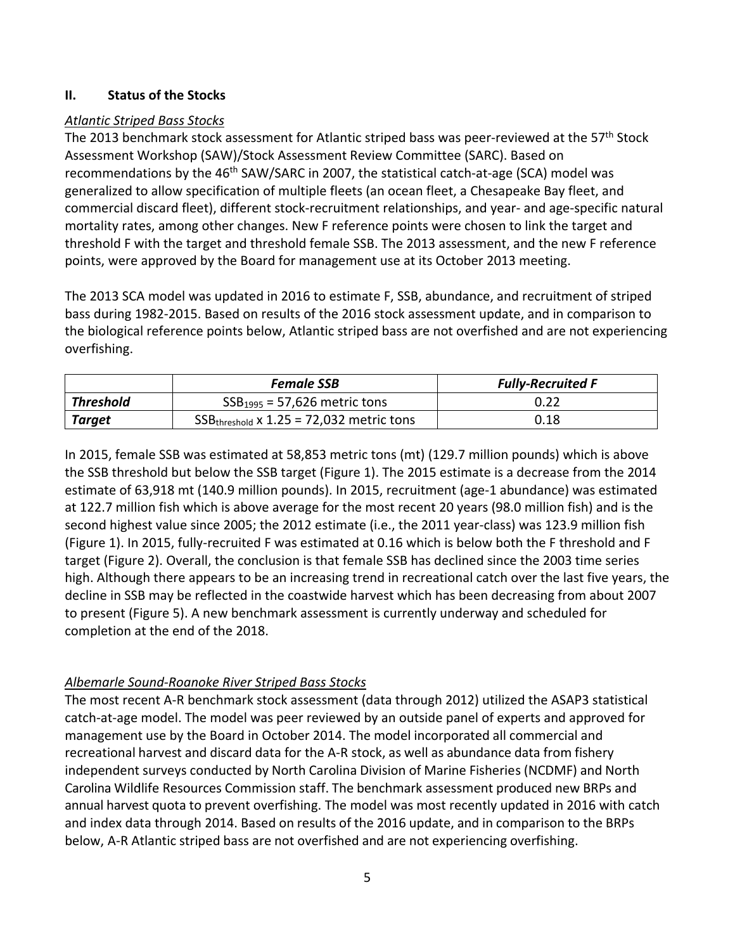#### **II. Status of the Stocks**

#### *Atlantic Striped Bass Stocks*

The 2013 benchmark stock assessment for Atlantic striped bass was peer-reviewed at the 57<sup>th</sup> Stock Assessment Workshop (SAW)/Stock Assessment Review Committee (SARC). Based on recommendations by the 46<sup>th</sup> SAW/SARC in 2007, the statistical catch-at-age (SCA) model was generalized to allow specification of multiple fleets (an ocean fleet, a Chesapeake Bay fleet, and commercial discard fleet), different stock‐recruitment relationships, and year‐ and age‐specific natural mortality rates, among other changes. New F reference points were chosen to link the target and threshold F with the target and threshold female SSB. The 2013 assessment, and the new F reference points, were approved by the Board for management use at its October 2013 meeting.

The 2013 SCA model was updated in 2016 to estimate F, SSB, abundance, and recruitment of striped bass during 1982‐2015. Based on results of the 2016 stock assessment update, and in comparison to the biological reference points below, Atlantic striped bass are not overfished and are not experiencing overfishing.

|                  | <b>Female SSB</b>                             | <b>Fully-Recruited F</b> |
|------------------|-----------------------------------------------|--------------------------|
| <b>Threshold</b> | $SSB_{1995} = 57,626$ metric tons             | 0.22                     |
| Target           | $SSB_{threshold}$ x 1.25 = 72,032 metric tons | 0.18                     |

In 2015, female SSB was estimated at 58,853 metric tons (mt) (129.7 million pounds) which is above the SSB threshold but below the SSB target (Figure 1). The 2015 estimate is a decrease from the 2014 estimate of 63,918 mt (140.9 million pounds). In 2015, recruitment (age‐1 abundance) was estimated at 122.7 million fish which is above average for the most recent 20 years (98.0 million fish) and is the second highest value since 2005; the 2012 estimate (i.e., the 2011 year-class) was 123.9 million fish (Figure 1). In 2015, fully‐recruited F was estimated at 0.16 which is below both the F threshold and F target (Figure 2). Overall, the conclusion is that female SSB has declined since the 2003 time series high. Although there appears to be an increasing trend in recreational catch over the last five years, the decline in SSB may be reflected in the coastwide harvest which has been decreasing from about 2007 to present (Figure 5). A new benchmark assessment is currently underway and scheduled for completion at the end of the 2018.

### *Albemarle Sound‐Roanoke River Striped Bass Stocks*

The most recent A‐R benchmark stock assessment (data through 2012) utilized the ASAP3 statistical catch‐at‐age model. The model was peer reviewed by an outside panel of experts and approved for management use by the Board in October 2014. The model incorporated all commercial and recreational harvest and discard data for the A‐R stock, as well as abundance data from fishery independent surveys conducted by North Carolina Division of Marine Fisheries (NCDMF) and North Carolina Wildlife Resources Commission staff. The benchmark assessment produced new BRPs and annual harvest quota to prevent overfishing. The model was most recently updated in 2016 with catch and index data through 2014. Based on results of the 2016 update, and in comparison to the BRPs below, A‐R Atlantic striped bass are not overfished and are not experiencing overfishing.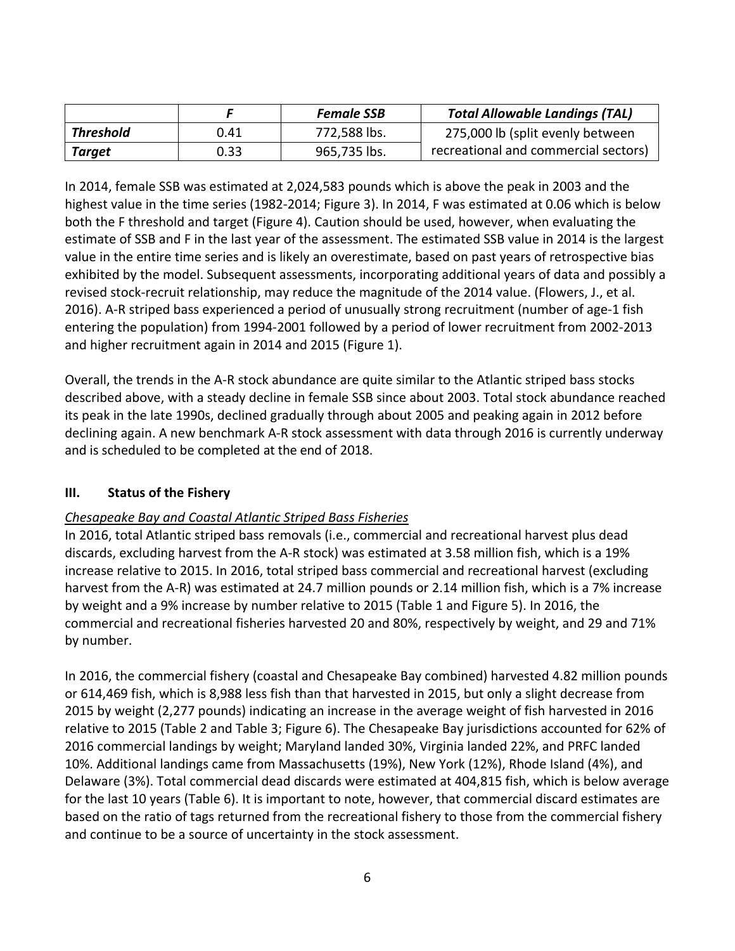|                  |      | <b>Female SSB</b> | <b>Total Allowable Landings (TAL)</b> |
|------------------|------|-------------------|---------------------------------------|
| <b>Threshold</b> | 0.41 | 772,588 lbs.      | 275,000 lb (split evenly between      |
| <b>Target</b>    | 0.33 | 965,735 lbs.      | recreational and commercial sectors)  |

In 2014, female SSB was estimated at 2,024,583 pounds which is above the peak in 2003 and the highest value in the time series (1982-2014; Figure 3). In 2014, F was estimated at 0.06 which is below both the F threshold and target (Figure 4). Caution should be used, however, when evaluating the estimate of SSB and F in the last year of the assessment. The estimated SSB value in 2014 is the largest value in the entire time series and is likely an overestimate, based on past years of retrospective bias exhibited by the model. Subsequent assessments, incorporating additional years of data and possibly a revised stock‐recruit relationship, may reduce the magnitude of the 2014 value. (Flowers, J., et al. 2016). A‐R striped bass experienced a period of unusually strong recruitment (number of age‐1 fish entering the population) from 1994‐2001 followed by a period of lower recruitment from 2002‐2013 and higher recruitment again in 2014 and 2015 (Figure 1).

Overall, the trends in the A‐R stock abundance are quite similar to the Atlantic striped bass stocks described above, with a steady decline in female SSB since about 2003. Total stock abundance reached its peak in the late 1990s, declined gradually through about 2005 and peaking again in 2012 before declining again. A new benchmark A‐R stock assessment with data through 2016 is currently underway and is scheduled to be completed at the end of 2018.

### **III. Status of the Fishery**

### *Chesapeake Bay and Coastal Atlantic Striped Bass Fisheries*

In 2016, total Atlantic striped bass removals (i.e., commercial and recreational harvest plus dead discards, excluding harvest from the A‐R stock) was estimated at 3.58 million fish, which is a 19% increase relative to 2015. In 2016, total striped bass commercial and recreational harvest (excluding harvest from the A-R) was estimated at 24.7 million pounds or 2.14 million fish, which is a 7% increase by weight and a 9% increase by number relative to 2015 (Table 1 and Figure 5). In 2016, the commercial and recreational fisheries harvested 20 and 80%, respectively by weight, and 29 and 71% by number.

In 2016, the commercial fishery (coastal and Chesapeake Bay combined) harvested 4.82 million pounds or 614,469 fish, which is 8,988 less fish than that harvested in 2015, but only a slight decrease from 2015 by weight (2,277 pounds) indicating an increase in the average weight of fish harvested in 2016 relative to 2015 (Table 2 and Table 3; Figure 6). The Chesapeake Bay jurisdictions accounted for 62% of 2016 commercial landings by weight; Maryland landed 30%, Virginia landed 22%, and PRFC landed 10%. Additional landings came from Massachusetts (19%), New York (12%), Rhode Island (4%), and Delaware (3%). Total commercial dead discards were estimated at 404,815 fish, which is below average for the last 10 years (Table 6). It is important to note, however, that commercial discard estimates are based on the ratio of tags returned from the recreational fishery to those from the commercial fishery and continue to be a source of uncertainty in the stock assessment.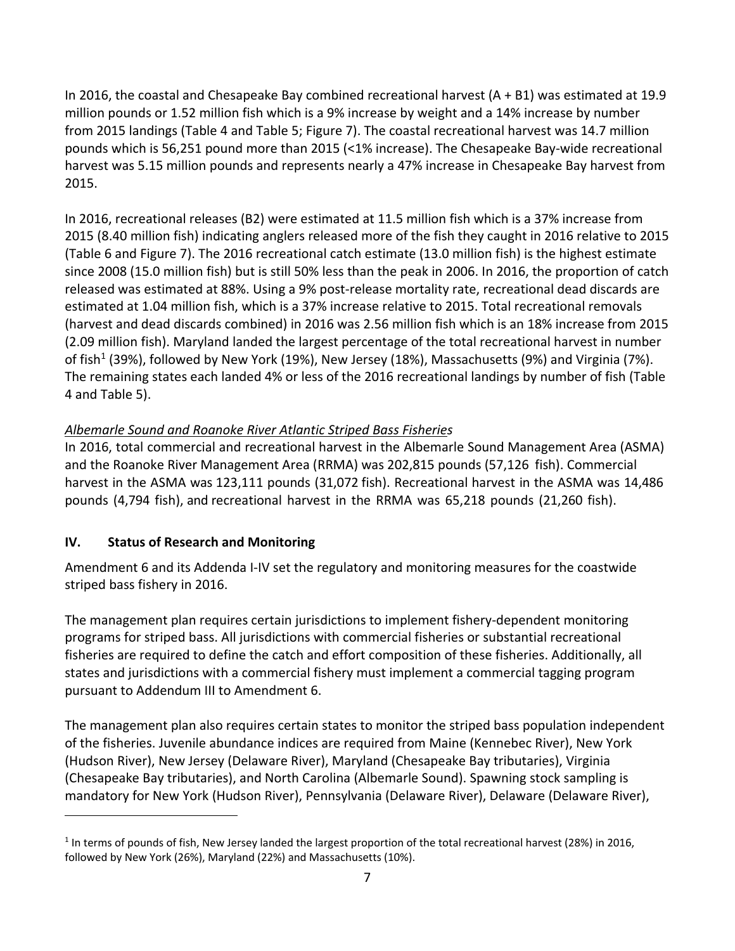In 2016, the coastal and Chesapeake Bay combined recreational harvest (A + B1) was estimated at 19.9 million pounds or 1.52 million fish which is a 9% increase by weight and a 14% increase by number from 2015 landings (Table 4 and Table 5; Figure 7). The coastal recreational harvest was 14.7 million pounds which is 56,251 pound more than 2015 (<1% increase). The Chesapeake Bay‐wide recreational harvest was 5.15 million pounds and represents nearly a 47% increase in Chesapeake Bay harvest from 2015.

In 2016, recreational releases (B2) were estimated at 11.5 million fish which is a 37% increase from 2015 (8.40 million fish) indicating anglers released more of the fish they caught in 2016 relative to 2015 (Table 6 and Figure 7). The 2016 recreational catch estimate (13.0 million fish) is the highest estimate since 2008 (15.0 million fish) but is still 50% less than the peak in 2006. In 2016, the proportion of catch released was estimated at 88%. Using a 9% post‐release mortality rate, recreational dead discards are estimated at 1.04 million fish, which is a 37% increase relative to 2015. Total recreational removals (harvest and dead discards combined) in 2016 was 2.56 million fish which is an 18% increase from 2015 (2.09 million fish). Maryland landed the largest percentage of the total recreational harvest in number of fish<sup>1</sup> (39%), followed by New York (19%), New Jersey (18%), Massachusetts (9%) and Virginia (7%). The remaining states each landed 4% or less of the 2016 recreational landings by number of fish (Table 4 and Table 5).

# *Albemarle Sound and Roanoke River Atlantic Striped Bass Fisheries*

In 2016, total commercial and recreational harvest in the Albemarle Sound Management Area (ASMA) and the Roanoke River Management Area (RRMA) was 202,815 pounds (57,126 fish). Commercial harvest in the ASMA was 123,111 pounds (31,072 fish). Recreational harvest in the ASMA was 14,486 pounds (4,794 fish), and recreational harvest in the RRMA was 65,218 pounds (21,260 fish).

# **IV. Status of Research and Monitoring**

 $\overline{\phantom{a}}$ 

Amendment 6 and its Addenda I-IV set the regulatory and monitoring measures for the coastwide striped bass fishery in 2016.

The management plan requires certain jurisdictions to implement fishery‐dependent monitoring programs for striped bass. All jurisdictions with commercial fisheries or substantial recreational fisheries are required to define the catch and effort composition of these fisheries. Additionally, all states and jurisdictions with a commercial fishery must implement a commercial tagging program pursuant to Addendum III to Amendment 6.

The management plan also requires certain states to monitor the striped bass population independent of the fisheries. Juvenile abundance indices are required from Maine (Kennebec River), New York (Hudson River), New Jersey (Delaware River), Maryland (Chesapeake Bay tributaries), Virginia (Chesapeake Bay tributaries), and North Carolina (Albemarle Sound). Spawning stock sampling is mandatory for New York (Hudson River), Pennsylvania (Delaware River), Delaware (Delaware River),

 $1$  In terms of pounds of fish, New Jersey landed the largest proportion of the total recreational harvest (28%) in 2016, followed by New York (26%), Maryland (22%) and Massachusetts (10%).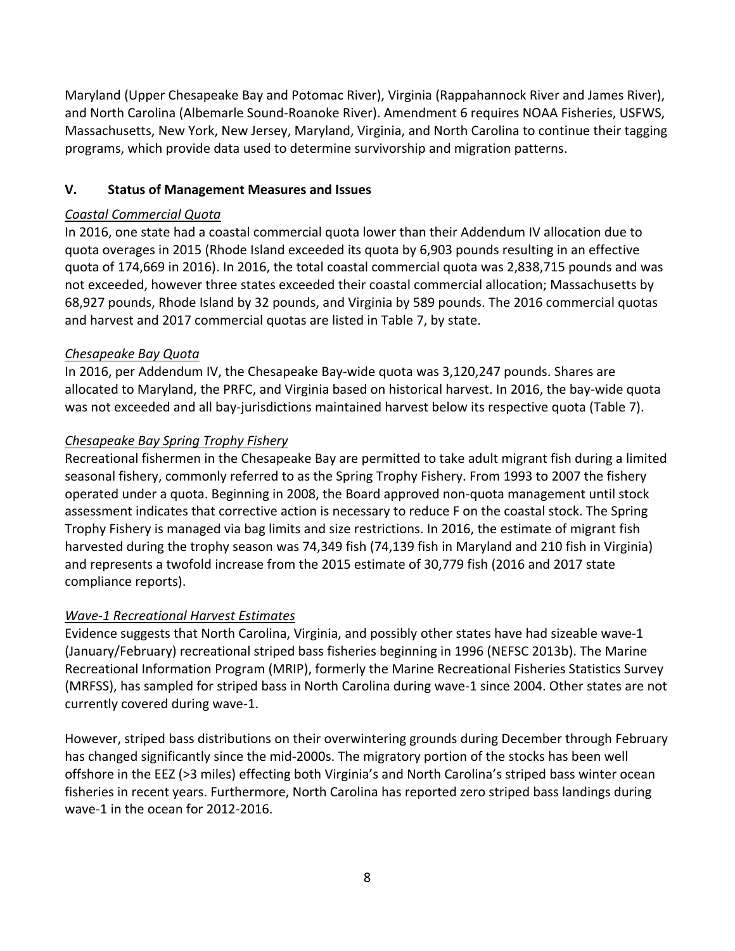Maryland (Upper Chesapeake Bay and Potomac River), Virginia (Rappahannock River and James River), and North Carolina (Albemarle Sound‐Roanoke River). Amendment 6 requires NOAA Fisheries, USFWS, Massachusetts, New York, New Jersey, Maryland, Virginia, and North Carolina to continue their tagging programs, which provide data used to determine survivorship and migration patterns.

### **V. Status of Management Measures and Issues**

#### *Coastal Commercial Quota*

In 2016, one state had a coastal commercial quota lower than their Addendum IV allocation due to quota overages in 2015 (Rhode Island exceeded its quota by 6,903 pounds resulting in an effective quota of 174,669 in 2016). In 2016, the total coastal commercial quota was 2,838,715 pounds and was not exceeded, however three states exceeded their coastal commercial allocation; Massachusetts by 68,927 pounds, Rhode Island by 32 pounds, and Virginia by 589 pounds. The 2016 commercial quotas and harvest and 2017 commercial quotas are listed in Table 7, by state.

#### *Chesapeake Bay Quota*

In 2016, per Addendum IV, the Chesapeake Bay-wide quota was 3,120,247 pounds. Shares are allocated to Maryland, the PRFC, and Virginia based on historical harvest. In 2016, the bay‐wide quota was not exceeded and all bay-jurisdictions maintained harvest below its respective quota (Table 7).

#### *Chesapeake Bay Spring Trophy Fishery*

Recreational fishermen in the Chesapeake Bay are permitted to take adult migrant fish during a limited seasonal fishery, commonly referred to as the Spring Trophy Fishery. From 1993 to 2007 the fishery operated under a quota. Beginning in 2008, the Board approved non‐quota management until stock assessment indicates that corrective action is necessary to reduce F on the coastal stock. The Spring Trophy Fishery is managed via bag limits and size restrictions. In 2016, the estimate of migrant fish harvested during the trophy season was 74,349 fish (74,139 fish in Maryland and 210 fish in Virginia) and represents a twofold increase from the 2015 estimate of 30,779 fish (2016 and 2017 state compliance reports).

#### *Wave‐1 Recreational Harvest Estimates*

Evidence suggests that North Carolina, Virginia, and possibly other states have had sizeable wave‐1 (January/February) recreational striped bass fisheries beginning in 1996 (NEFSC 2013b). The Marine Recreational Information Program (MRIP), formerly the Marine Recreational Fisheries Statistics Survey (MRFSS), has sampled for striped bass in North Carolina during wave‐1 since 2004. Other states are not currently covered during wave‐1.

However, striped bass distributions on their overwintering grounds during December through February has changed significantly since the mid‐2000s. The migratory portion of the stocks has been well offshore in the EEZ (>3 miles) effecting both Virginia's and North Carolina's striped bass winter ocean fisheries in recent years. Furthermore, North Carolina has reported zero striped bass landings during wave‐1 in the ocean for 2012‐2016.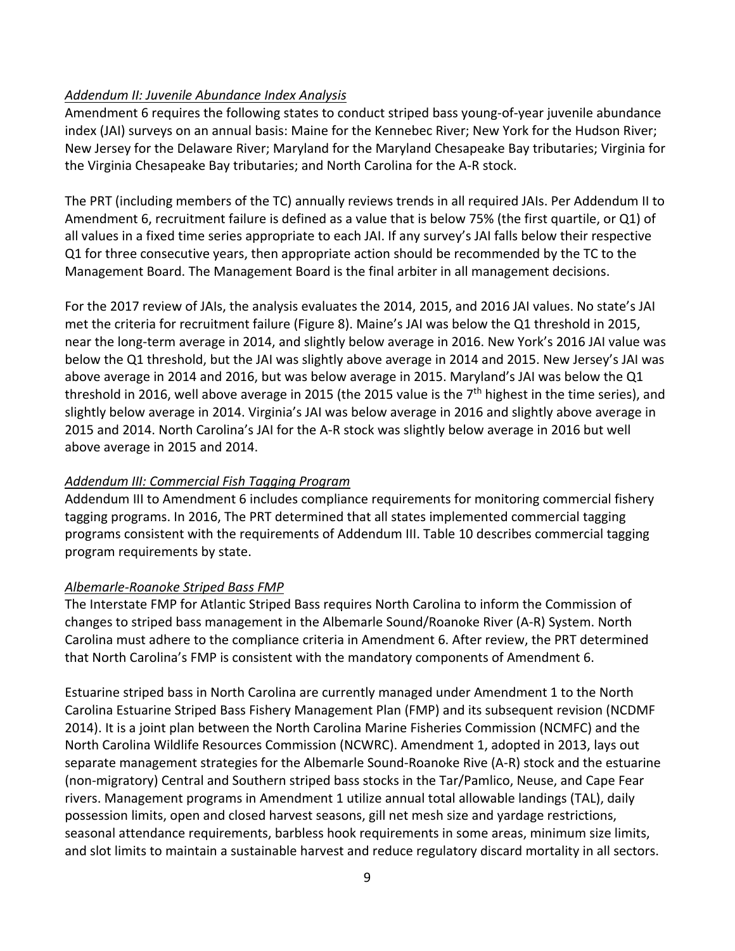#### *Addendum II: Juvenile Abundance Index Analysis*

Amendment 6 requires the following states to conduct striped bass young‐of‐year juvenile abundance index (JAI) surveys on an annual basis: Maine for the Kennebec River; New York for the Hudson River; New Jersey for the Delaware River; Maryland for the Maryland Chesapeake Bay tributaries; Virginia for the Virginia Chesapeake Bay tributaries; and North Carolina for the A‐R stock.

The PRT (including members of the TC) annually reviews trends in all required JAIs. Per Addendum II to Amendment 6, recruitment failure is defined as a value that is below 75% (the first quartile, or Q1) of all values in a fixed time series appropriate to each JAI. If any survey's JAI falls below their respective Q1 for three consecutive years, then appropriate action should be recommended by the TC to the Management Board. The Management Board is the final arbiter in all management decisions.

For the 2017 review of JAIs, the analysis evaluates the 2014, 2015, and 2016 JAI values. No state's JAI met the criteria for recruitment failure (Figure 8). Maine's JAI was below the Q1 threshold in 2015, near the long‐term average in 2014, and slightly below average in 2016. New York's 2016 JAI value was below the Q1 threshold, but the JAI was slightly above average in 2014 and 2015. New Jersey's JAI was above average in 2014 and 2016, but was below average in 2015. Maryland's JAI was below the Q1 threshold in 2016, well above average in 2015 (the 2015 value is the  $7<sup>th</sup>$  highest in the time series), and slightly below average in 2014. Virginia's JAI was below average in 2016 and slightly above average in 2015 and 2014. North Carolina's JAI for the A‐R stock was slightly below average in 2016 but well above average in 2015 and 2014.

#### *Addendum III: Commercial Fish Tagging Program*

Addendum III to Amendment 6 includes compliance requirements for monitoring commercial fishery tagging programs. In 2016, The PRT determined that all states implemented commercial tagging programs consistent with the requirements of Addendum III. Table 10 describes commercial tagging program requirements by state.

#### *Albemarle‐Roanoke Striped Bass FMP*

The Interstate FMP for Atlantic Striped Bass requires North Carolina to inform the Commission of changes to striped bass management in the Albemarle Sound/Roanoke River (A‐R) System. North Carolina must adhere to the compliance criteria in Amendment 6. After review, the PRT determined that North Carolina's FMP is consistent with the mandatory components of Amendment 6.

Estuarine striped bass in North Carolina are currently managed under Amendment 1 to the North Carolina Estuarine Striped Bass Fishery Management Plan (FMP) and its subsequent revision (NCDMF 2014). It is a joint plan between the North Carolina Marine Fisheries Commission (NCMFC) and the North Carolina Wildlife Resources Commission (NCWRC). Amendment 1, adopted in 2013, lays out separate management strategies for the Albemarle Sound‐Roanoke Rive (A‐R) stock and the estuarine (non‐migratory) Central and Southern striped bass stocks in the Tar/Pamlico, Neuse, and Cape Fear rivers. Management programs in Amendment 1 utilize annual total allowable landings (TAL), daily possession limits, open and closed harvest seasons, gill net mesh size and yardage restrictions, seasonal attendance requirements, barbless hook requirements in some areas, minimum size limits, and slot limits to maintain a sustainable harvest and reduce regulatory discard mortality in all sectors.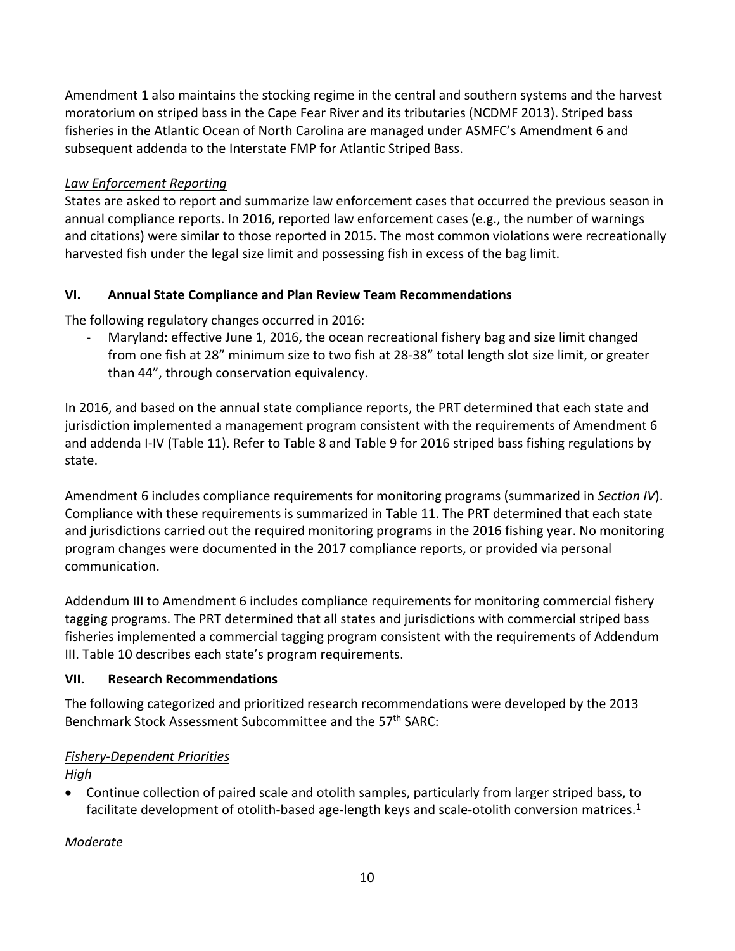Amendment 1 also maintains the stocking regime in the central and southern systems and the harvest moratorium on striped bass in the Cape Fear River and its tributaries (NCDMF 2013). Striped bass fisheries in the Atlantic Ocean of North Carolina are managed under ASMFC's Amendment 6 and subsequent addenda to the Interstate FMP for Atlantic Striped Bass.

## *Law Enforcement Reporting*

States are asked to report and summarize law enforcement cases that occurred the previous season in annual compliance reports. In 2016, reported law enforcement cases (e.g., the number of warnings and citations) were similar to those reported in 2015. The most common violations were recreationally harvested fish under the legal size limit and possessing fish in excess of the bag limit.

## **VI. Annual State Compliance and Plan Review Team Recommendations**

The following regulatory changes occurred in 2016:

Maryland: effective June 1, 2016, the ocean recreational fishery bag and size limit changed from one fish at 28" minimum size to two fish at 28‐38" total length slot size limit, or greater than 44", through conservation equivalency.

In 2016, and based on the annual state compliance reports, the PRT determined that each state and jurisdiction implemented a management program consistent with the requirements of Amendment 6 and addenda I‐IV (Table 11). Refer to Table 8 and Table 9 for 2016 striped bass fishing regulations by state.

Amendment 6 includes compliance requirements for monitoring programs (summarized in *Section IV*). Compliance with these requirements is summarized in Table 11. The PRT determined that each state and jurisdictions carried out the required monitoring programs in the 2016 fishing year. No monitoring program changes were documented in the 2017 compliance reports, or provided via personal communication.

Addendum III to Amendment 6 includes compliance requirements for monitoring commercial fishery tagging programs. The PRT determined that all states and jurisdictions with commercial striped bass fisheries implemented a commercial tagging program consistent with the requirements of Addendum III. Table 10 describes each state's program requirements.

### **VII. Research Recommendations**

The following categorized and prioritized research recommendations were developed by the 2013 Benchmark Stock Assessment Subcommittee and the 57<sup>th</sup> SARC:

# *Fishery‐Dependent Priorities*

*High*

 Continue collection of paired scale and otolith samples, particularly from larger striped bass, to facilitate development of otolith-based age-length keys and scale-otolith conversion matrices.<sup>1</sup>

# *Moderate*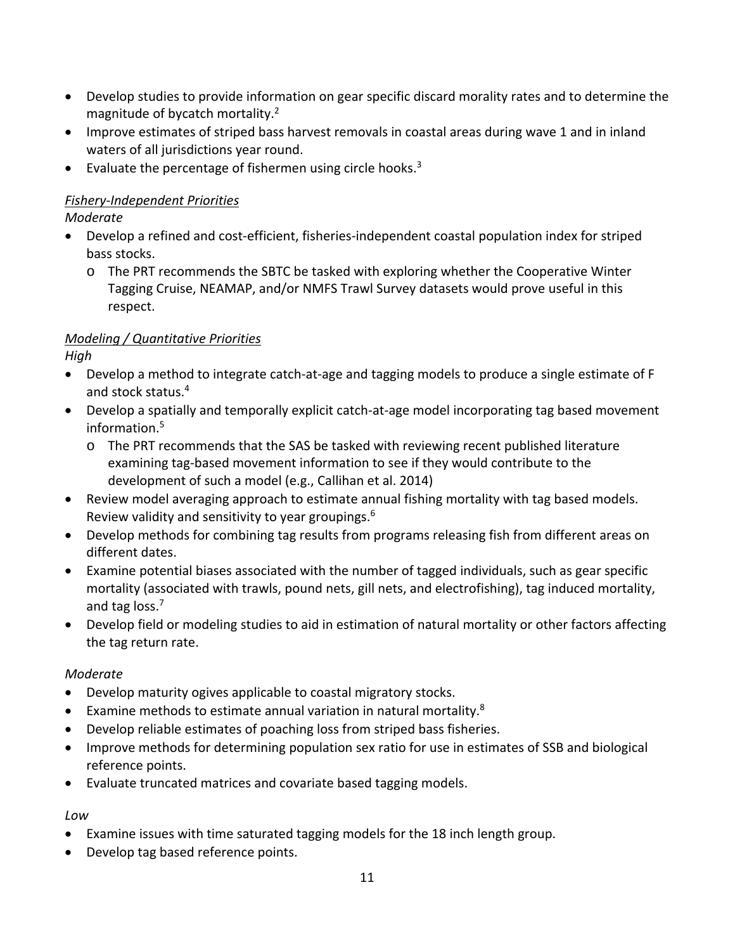- Develop studies to provide information on gear specific discard morality rates and to determine the magnitude of bycatch mortality.2
- Improve estimates of striped bass harvest removals in coastal areas during wave 1 and in inland waters of all jurisdictions year round.
- $\bullet$  Evaluate the percentage of fishermen using circle hooks.<sup>3</sup>

## *Fishery‐Independent Priorities*

*Moderate*

- Develop a refined and cost-efficient, fisheries-independent coastal population index for striped bass stocks.
	- o The PRT recommends the SBTC be tasked with exploring whether the Cooperative Winter Tagging Cruise, NEAMAP, and/or NMFS Trawl Survey datasets would prove useful in this respect.

## *Modeling / Quantitative Priorities*

*High*

- Develop a method to integrate catch-at-age and tagging models to produce a single estimate of F and stock status.4
- Develop a spatially and temporally explicit catch-at-age model incorporating tag based movement information.5
	- o The PRT recommends that the SAS be tasked with reviewing recent published literature examining tag‐based movement information to see if they would contribute to the development of such a model (e.g., Callihan et al. 2014)
- Review model averaging approach to estimate annual fishing mortality with tag based models. Review validity and sensitivity to year groupings.6
- Develop methods for combining tag results from programs releasing fish from different areas on different dates.
- Examine potential biases associated with the number of tagged individuals, such as gear specific mortality (associated with trawls, pound nets, gill nets, and electrofishing), tag induced mortality, and tag loss.7
- Develop field or modeling studies to aid in estimation of natural mortality or other factors affecting the tag return rate.

### *Moderate*

- Develop maturity ogives applicable to coastal migratory stocks.
- Examine methods to estimate annual variation in natural mortality.<sup>8</sup>
- Develop reliable estimates of poaching loss from striped bass fisheries.
- Improve methods for determining population sex ratio for use in estimates of SSB and biological reference points.
- Evaluate truncated matrices and covariate based tagging models.

### *Low*

- Examine issues with time saturated tagging models for the 18 inch length group.
- Develop tag based reference points.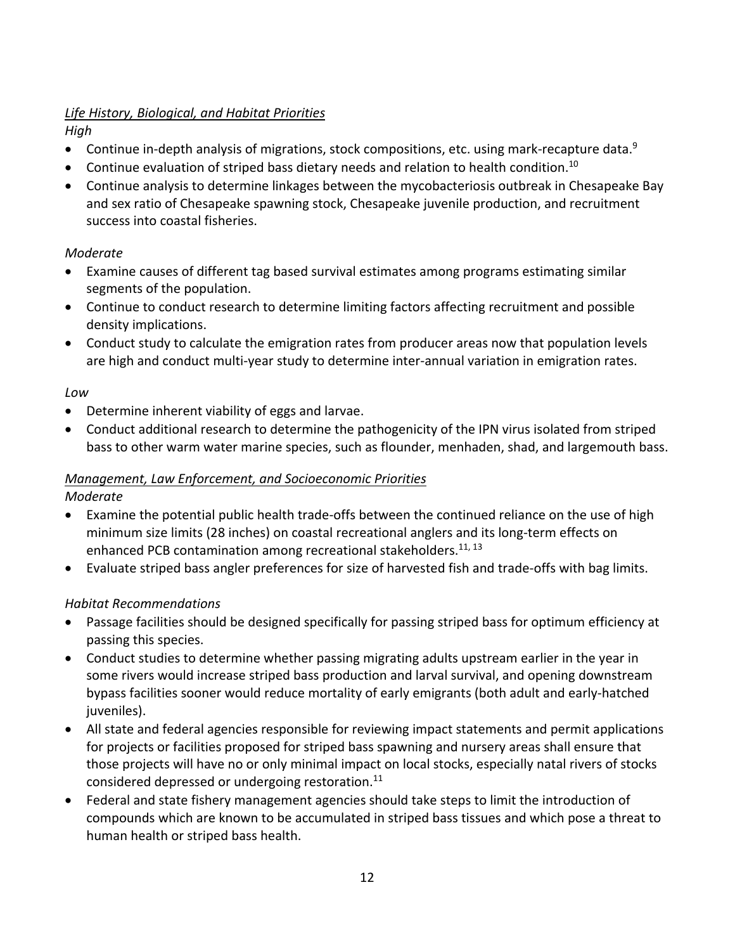# *Life History, Biological, and Habitat Priorities*

*High*

- Continue in-depth analysis of migrations, stock compositions, etc. using mark-recapture data.<sup>9</sup>
- Continue evaluation of striped bass dietary needs and relation to health condition.<sup>10</sup>
- Continue analysis to determine linkages between the mycobacteriosis outbreak in Chesapeake Bay and sex ratio of Chesapeake spawning stock, Chesapeake juvenile production, and recruitment success into coastal fisheries.

# *Moderate*

- Examine causes of different tag based survival estimates among programs estimating similar segments of the population.
- Continue to conduct research to determine limiting factors affecting recruitment and possible density implications.
- Conduct study to calculate the emigration rates from producer areas now that population levels are high and conduct multi-year study to determine inter-annual variation in emigration rates.

# *Low*

- Determine inherent viability of eggs and larvae.
- Conduct additional research to determine the pathogenicity of the IPN virus isolated from striped bass to other warm water marine species, such as flounder, menhaden, shad, and largemouth bass.

# *Management, Law Enforcement, and Socioeconomic Priorities*

*Moderate*

- Examine the potential public health trade-offs between the continued reliance on the use of high minimum size limits (28 inches) on coastal recreational anglers and its long‐term effects on enhanced PCB contamination among recreational stakeholders.<sup>11, 13</sup>
- Evaluate striped bass angler preferences for size of harvested fish and trade‐offs with bag limits.

# *Habitat Recommendations*

- Passage facilities should be designed specifically for passing striped bass for optimum efficiency at passing this species.
- Conduct studies to determine whether passing migrating adults upstream earlier in the year in some rivers would increase striped bass production and larval survival, and opening downstream bypass facilities sooner would reduce mortality of early emigrants (both adult and early‐hatched juveniles).
- All state and federal agencies responsible for reviewing impact statements and permit applications for projects or facilities proposed for striped bass spawning and nursery areas shall ensure that those projects will have no or only minimal impact on local stocks, especially natal rivers of stocks considered depressed or undergoing restoration.<sup>11</sup>
- Federal and state fishery management agencies should take steps to limit the introduction of compounds which are known to be accumulated in striped bass tissues and which pose a threat to human health or striped bass health.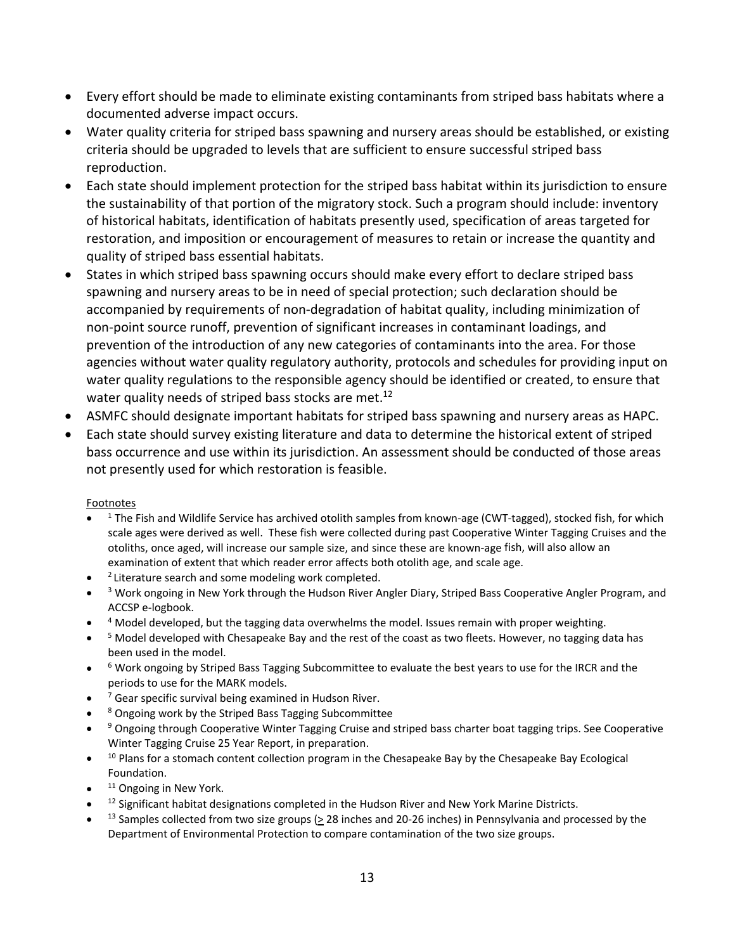- Every effort should be made to eliminate existing contaminants from striped bass habitats where a documented adverse impact occurs.
- Water quality criteria for striped bass spawning and nursery areas should be established, or existing criteria should be upgraded to levels that are sufficient to ensure successful striped bass reproduction.
- Each state should implement protection for the striped bass habitat within its jurisdiction to ensure the sustainability of that portion of the migratory stock. Such a program should include: inventory of historical habitats, identification of habitats presently used, specification of areas targeted for restoration, and imposition or encouragement of measures to retain or increase the quantity and quality of striped bass essential habitats.
- States in which striped bass spawning occurs should make every effort to declare striped bass spawning and nursery areas to be in need of special protection; such declaration should be accompanied by requirements of non‐degradation of habitat quality, including minimization of non‐point source runoff, prevention of significant increases in contaminant loadings, and prevention of the introduction of any new categories of contaminants into the area. For those agencies without water quality regulatory authority, protocols and schedules for providing input on water quality regulations to the responsible agency should be identified or created, to ensure that water quality needs of striped bass stocks are met.<sup>12</sup>
- ASMFC should designate important habitats for striped bass spawning and nursery areas as HAPC.
- Each state should survey existing literature and data to determine the historical extent of striped bass occurrence and use within its jurisdiction. An assessment should be conducted of those areas not presently used for which restoration is feasible.

#### Footnotes

- $1$  The Fish and Wildlife Service has archived otolith samples from known-age (CWT-tagged), stocked fish, for which scale ages were derived as well. These fish were collected during past Cooperative Winter Tagging Cruises and the otoliths, once aged, will increase our sample size, and since these are known‐age fish, will also allow an examination of extent that which reader error affects both otolith age, and scale age.
- <sup>2</sup> Literature search and some modeling work completed.
- <sup>3</sup> Work ongoing in New York through the Hudson River Angler Diary, Striped Bass Cooperative Angler Program, and ACCSP e‐logbook.
- <sup>4</sup> Model developed, but the tagging data overwhelms the model. Issues remain with proper weighting.
- <sup>5</sup> Model developed with Chesapeake Bay and the rest of the coast as two fleets. However, no tagging data has been used in the model.
- <sup>6</sup> Work ongoing by Striped Bass Tagging Subcommittee to evaluate the best years to use for the IRCR and the periods to use for the MARK models.
- $<sup>7</sup>$  Gear specific survival being examined in Hudson River.</sup>
- <sup>8</sup> Ongoing work by the Striped Bass Tagging Subcommittee
- <sup>9</sup> Ongoing through Cooperative Winter Tagging Cruise and striped bass charter boat tagging trips. See Cooperative Winter Tagging Cruise 25 Year Report, in preparation.
- <sup>10</sup> Plans for a stomach content collection program in the Chesapeake Bay by the Chesapeake Bay Ecological Foundation.
- <sup>11</sup> Ongoing in New York.
- <sup>12</sup> Significant habitat designations completed in the Hudson River and New York Marine Districts.
- <sup>13</sup> Samples collected from two size groups ( $\geq$  28 inches and 20-26 inches) in Pennsylvania and processed by the Department of Environmental Protection to compare contamination of the two size groups.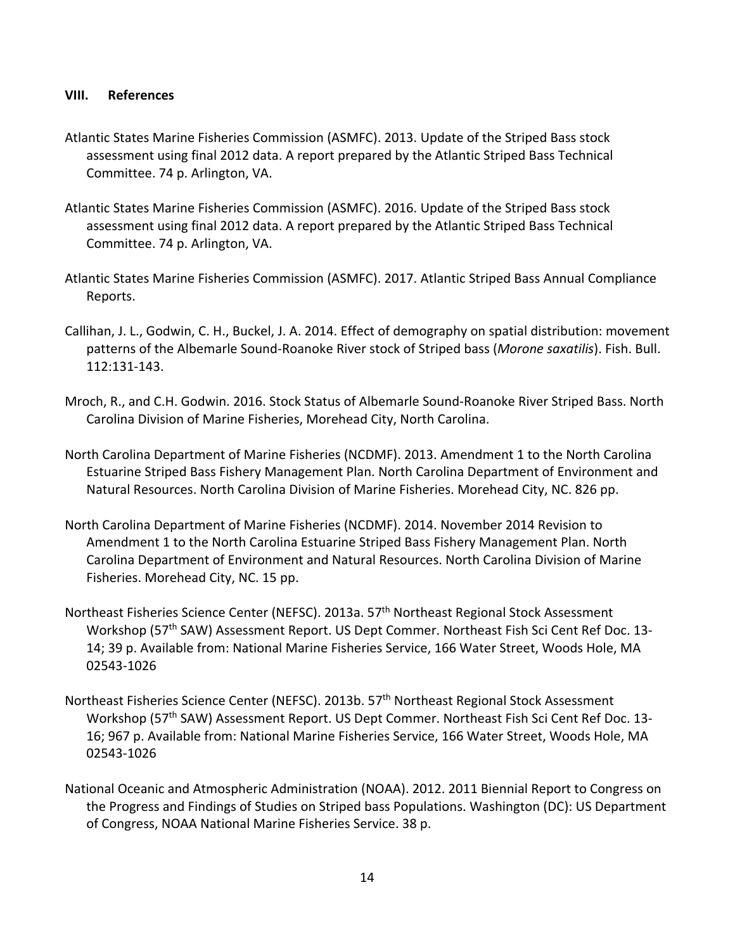#### **VIII. References**

- Atlantic States Marine Fisheries Commission (ASMFC). 2013. Update of the Striped Bass stock assessment using final 2012 data. A report prepared by the Atlantic Striped Bass Technical Committee. 74 p. Arlington, VA.
- Atlantic States Marine Fisheries Commission (ASMFC). 2016. Update of the Striped Bass stock assessment using final 2012 data. A report prepared by the Atlantic Striped Bass Technical Committee. 74 p. Arlington, VA.
- Atlantic States Marine Fisheries Commission (ASMFC). 2017. Atlantic Striped Bass Annual Compliance Reports.
- Callihan, J. L., Godwin, C. H., Buckel, J. A. 2014. Effect of demography on spatial distribution: movement patterns of the Albemarle Sound‐Roanoke River stock of Striped bass (*Morone saxatilis*). Fish. Bull. 112:131‐143.
- Mroch, R., and C.H. Godwin. 2016. Stock Status of Albemarle Sound‐Roanoke River Striped Bass. North Carolina Division of Marine Fisheries, Morehead City, North Carolina.
- North Carolina Department of Marine Fisheries (NCDMF). 2013. Amendment 1 to the North Carolina Estuarine Striped Bass Fishery Management Plan. North Carolina Department of Environment and Natural Resources. North Carolina Division of Marine Fisheries. Morehead City, NC. 826 pp.
- North Carolina Department of Marine Fisheries (NCDMF). 2014. November 2014 Revision to Amendment 1 to the North Carolina Estuarine Striped Bass Fishery Management Plan. North Carolina Department of Environment and Natural Resources. North Carolina Division of Marine Fisheries. Morehead City, NC. 15 pp.
- Northeast Fisheries Science Center (NEFSC). 2013a. 57<sup>th</sup> Northeast Regional Stock Assessment Workshop (57<sup>th</sup> SAW) Assessment Report. US Dept Commer. Northeast Fish Sci Cent Ref Doc. 13-14; 39 p. Available from: National Marine Fisheries Service, 166 Water Street, Woods Hole, MA 02543‐1026
- Northeast Fisheries Science Center (NEFSC). 2013b. 57<sup>th</sup> Northeast Regional Stock Assessment Workshop (57<sup>th</sup> SAW) Assessment Report. US Dept Commer. Northeast Fish Sci Cent Ref Doc. 13-16; 967 p. Available from: National Marine Fisheries Service, 166 Water Street, Woods Hole, MA 02543‐1026
- National Oceanic and Atmospheric Administration (NOAA). 2012. 2011 Biennial Report to Congress on the Progress and Findings of Studies on Striped bass Populations. Washington (DC): US Department of Congress, NOAA National Marine Fisheries Service. 38 p.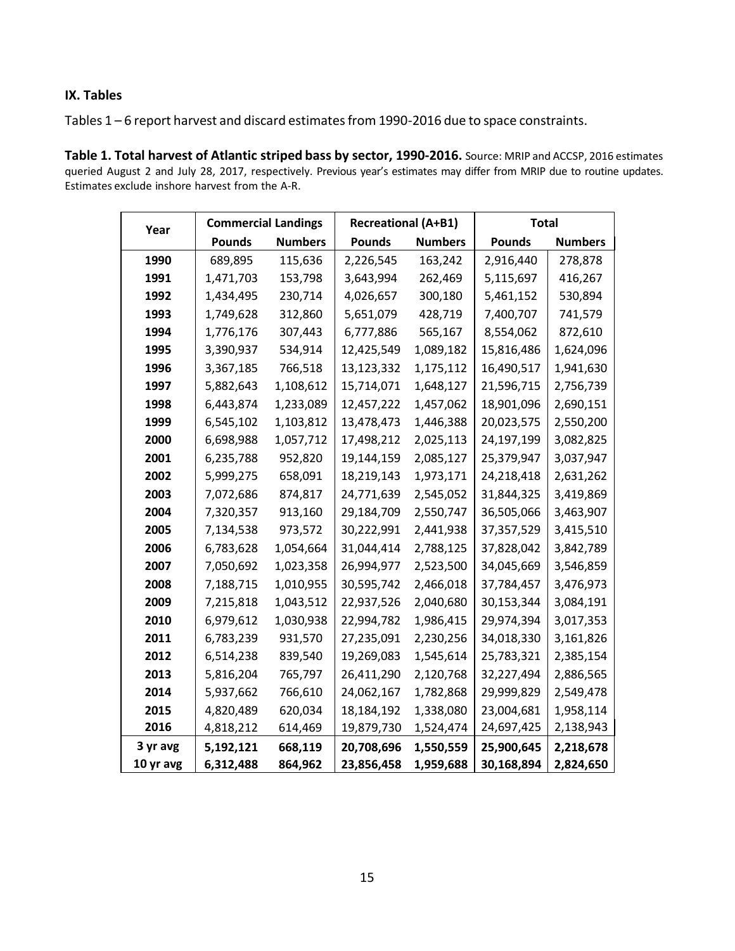#### **IX. Tables**

Tables 1-6 report harvest and discard estimates from 1990-2016 due to space constraints.

**Table 1. Total harvest of Atlantic striped bass by sector, 1990‐2016.** Source: MRIP and ACCSP, 2016 estimates queried August 2 and July 28, 2017, respectively. Previous year's estimates may differ from MRIP due to routine updates. Estimates exclude inshore harvest from the A‐R.

| Year      | <b>Commercial Landings</b> |                | <b>Recreational (A+B1)</b> |                | <b>Total</b>  |                |
|-----------|----------------------------|----------------|----------------------------|----------------|---------------|----------------|
|           | <b>Pounds</b>              | <b>Numbers</b> | <b>Pounds</b>              | <b>Numbers</b> | <b>Pounds</b> | <b>Numbers</b> |
| 1990      | 689,895                    | 115,636        | 2,226,545                  | 163,242        | 2,916,440     | 278,878        |
| 1991      | 1,471,703                  | 153,798        | 3,643,994                  | 262,469        | 5,115,697     | 416,267        |
| 1992      | 1,434,495                  | 230,714        | 4,026,657                  | 300,180        | 5,461,152     | 530,894        |
| 1993      | 1,749,628                  | 312,860        | 5,651,079                  | 428,719        | 7,400,707     | 741,579        |
| 1994      | 1,776,176                  | 307,443        | 6,777,886                  | 565,167        | 8,554,062     | 872,610        |
| 1995      | 3,390,937                  | 534,914        | 12,425,549                 | 1,089,182      | 15,816,486    | 1,624,096      |
| 1996      | 3,367,185                  | 766,518        | 13,123,332                 | 1,175,112      | 16,490,517    | 1,941,630      |
| 1997      | 5,882,643                  | 1,108,612      | 15,714,071                 | 1,648,127      | 21,596,715    | 2,756,739      |
| 1998      | 6,443,874                  | 1,233,089      | 12,457,222                 | 1,457,062      | 18,901,096    | 2,690,151      |
| 1999      | 6,545,102                  | 1,103,812      | 13,478,473                 | 1,446,388      | 20,023,575    | 2,550,200      |
| 2000      | 6,698,988                  | 1,057,712      | 17,498,212                 | 2,025,113      | 24,197,199    | 3,082,825      |
| 2001      | 6,235,788                  | 952,820        | 19,144,159                 | 2,085,127      | 25,379,947    | 3,037,947      |
| 2002      | 5,999,275                  | 658,091        | 18,219,143                 | 1,973,171      | 24,218,418    | 2,631,262      |
| 2003      | 7,072,686                  | 874,817        | 24,771,639                 | 2,545,052      | 31,844,325    | 3,419,869      |
| 2004      | 7,320,357                  | 913,160        | 29,184,709                 | 2,550,747      | 36,505,066    | 3,463,907      |
| 2005      | 7,134,538                  | 973,572        | 30,222,991                 | 2,441,938      | 37,357,529    | 3,415,510      |
| 2006      | 6,783,628                  | 1,054,664      | 31,044,414                 | 2,788,125      | 37,828,042    | 3,842,789      |
| 2007      | 7,050,692                  | 1,023,358      | 26,994,977                 | 2,523,500      | 34,045,669    | 3,546,859      |
| 2008      | 7,188,715                  | 1,010,955      | 30,595,742                 | 2,466,018      | 37,784,457    | 3,476,973      |
| 2009      | 7,215,818                  | 1,043,512      | 22,937,526                 | 2,040,680      | 30,153,344    | 3,084,191      |
| 2010      | 6,979,612                  | 1,030,938      | 22,994,782                 | 1,986,415      | 29,974,394    | 3,017,353      |
| 2011      | 6,783,239                  | 931,570        | 27,235,091                 | 2,230,256      | 34,018,330    | 3,161,826      |
| 2012      | 6,514,238                  | 839,540        | 19,269,083                 | 1,545,614      | 25,783,321    | 2,385,154      |
| 2013      | 5,816,204                  | 765,797        | 26,411,290                 | 2,120,768      | 32,227,494    | 2,886,565      |
| 2014      | 5,937,662                  | 766,610        | 24,062,167                 | 1,782,868      | 29,999,829    | 2,549,478      |
| 2015      | 4,820,489                  | 620,034        | 18,184,192                 | 1,338,080      | 23,004,681    | 1,958,114      |
| 2016      | 4,818,212                  | 614,469        | 19,879,730                 | 1,524,474      | 24,697,425    | 2,138,943      |
| 3 yr avg  | 5,192,121                  | 668,119        | 20,708,696                 | 1,550,559      | 25,900,645    | 2,218,678      |
| 10 yr avg | 6,312,488                  | 864,962        | 23,856,458                 | 1,959,688      | 30,168,894    | 2,824,650      |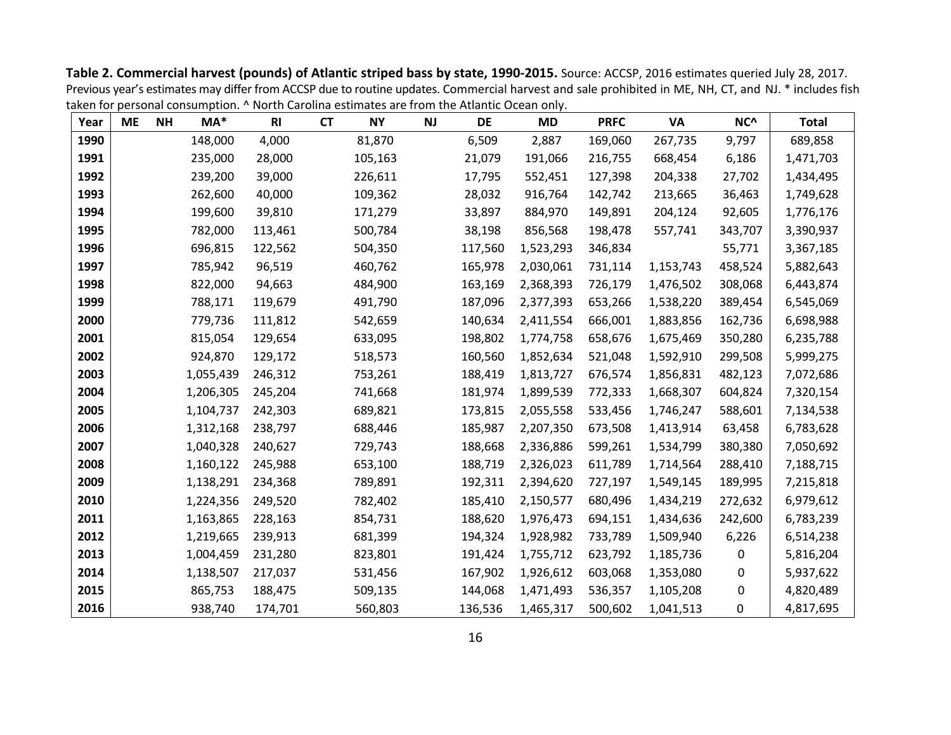Table 2. Commercial harvest (pounds) of Atlantic striped bass by state, 1990-2015. Source: ACCSP, 2016 estimates queried July 28, 2017. Previous year's estimates may differ from ACCSP due to routine updates. Commercial harvest and sale prohibited in ME, NH, CT, and NJ. \* includes fish taken for personal consumption. ^ North Carolina estimates are from the Atlantic Ocean only.

| Year | <b>ME</b> | <b>NH</b> | $MA*$     | <b>RI</b> | <b>CT</b> | <b>NY</b> | <b>NJ</b> | <b>DE</b> | <b>MD</b> | <b>PRFC</b> | <b>VA</b> | NC <sup>^</sup> | <b>Total</b> |
|------|-----------|-----------|-----------|-----------|-----------|-----------|-----------|-----------|-----------|-------------|-----------|-----------------|--------------|
| 1990 |           |           | 148,000   | 4,000     |           | 81,870    |           | 6,509     | 2,887     | 169,060     | 267,735   | 9,797           | 689,858      |
| 1991 |           |           | 235,000   | 28,000    |           | 105,163   |           | 21,079    | 191,066   | 216,755     | 668,454   | 6,186           | 1,471,703    |
| 1992 |           |           | 239,200   | 39,000    |           | 226,611   |           | 17,795    | 552,451   | 127,398     | 204,338   | 27,702          | 1,434,495    |
| 1993 |           |           | 262,600   | 40,000    |           | 109,362   |           | 28,032    | 916,764   | 142,742     | 213,665   | 36,463          | 1,749,628    |
| 1994 |           |           | 199,600   | 39,810    |           | 171,279   |           | 33,897    | 884,970   | 149,891     | 204,124   | 92,605          | 1,776,176    |
| 1995 |           |           | 782,000   | 113,461   |           | 500,784   |           | 38,198    | 856,568   | 198,478     | 557,741   | 343,707         | 3,390,937    |
| 1996 |           |           | 696,815   | 122,562   |           | 504,350   |           | 117,560   | 1,523,293 | 346,834     |           | 55,771          | 3,367,185    |
| 1997 |           |           | 785,942   | 96,519    |           | 460,762   |           | 165,978   | 2,030,061 | 731,114     | 1,153,743 | 458,524         | 5,882,643    |
| 1998 |           |           | 822,000   | 94,663    |           | 484,900   |           | 163,169   | 2,368,393 | 726,179     | 1,476,502 | 308,068         | 6,443,874    |
| 1999 |           |           | 788,171   | 119,679   |           | 491,790   |           | 187,096   | 2,377,393 | 653,266     | 1,538,220 | 389,454         | 6,545,069    |
| 2000 |           |           | 779,736   | 111,812   |           | 542,659   |           | 140,634   | 2,411,554 | 666,001     | 1,883,856 | 162,736         | 6,698,988    |
| 2001 |           |           | 815,054   | 129,654   |           | 633,095   |           | 198,802   | 1,774,758 | 658,676     | 1,675,469 | 350,280         | 6,235,788    |
| 2002 |           |           | 924,870   | 129,172   |           | 518,573   |           | 160,560   | 1,852,634 | 521,048     | 1,592,910 | 299,508         | 5,999,275    |
| 2003 |           |           | 1,055,439 | 246,312   |           | 753,261   |           | 188,419   | 1,813,727 | 676,574     | 1,856,831 | 482,123         | 7,072,686    |
| 2004 |           |           | 1,206,305 | 245,204   |           | 741,668   |           | 181,974   | 1,899,539 | 772,333     | 1,668,307 | 604,824         | 7,320,154    |
| 2005 |           |           | 1,104,737 | 242,303   |           | 689,821   |           | 173,815   | 2,055,558 | 533,456     | 1,746,247 | 588,601         | 7,134,538    |
| 2006 |           |           | 1,312,168 | 238,797   |           | 688,446   |           | 185,987   | 2,207,350 | 673,508     | 1,413,914 | 63,458          | 6,783,628    |
| 2007 |           |           | 1,040,328 | 240,627   |           | 729,743   |           | 188,668   | 2,336,886 | 599,261     | 1,534,799 | 380,380         | 7,050,692    |
| 2008 |           |           | 1,160,122 | 245,988   |           | 653,100   |           | 188,719   | 2,326,023 | 611,789     | 1,714,564 | 288,410         | 7,188,715    |
| 2009 |           |           | 1,138,291 | 234,368   |           | 789,891   |           | 192,311   | 2,394,620 | 727,197     | 1,549,145 | 189,995         | 7,215,818    |
| 2010 |           |           | 1,224,356 | 249,520   |           | 782,402   |           | 185,410   | 2,150,577 | 680,496     | 1,434,219 | 272,632         | 6,979,612    |
| 2011 |           |           | 1,163,865 | 228,163   |           | 854,731   |           | 188,620   | 1,976,473 | 694,151     | 1,434,636 | 242,600         | 6,783,239    |
| 2012 |           |           | 1,219,665 | 239,913   |           | 681,399   |           | 194,324   | 1,928,982 | 733,789     | 1,509,940 | 6,226           | 6,514,238    |
| 2013 |           |           | 1,004,459 | 231,280   |           | 823,801   |           | 191,424   | 1,755,712 | 623,792     | 1,185,736 | 0               | 5,816,204    |
| 2014 |           |           | 1,138,507 | 217,037   |           | 531,456   |           | 167,902   | 1,926,612 | 603,068     | 1,353,080 | 0               | 5,937,622    |
| 2015 |           |           | 865,753   | 188,475   |           | 509,135   |           | 144,068   | 1,471,493 | 536,357     | 1,105,208 | 0               | 4,820,489    |
| 2016 |           |           | 938,740   | 174,701   |           | 560,803   |           | 136,536   | 1,465,317 | 500,602     | 1,041,513 | 0               | 4,817,695    |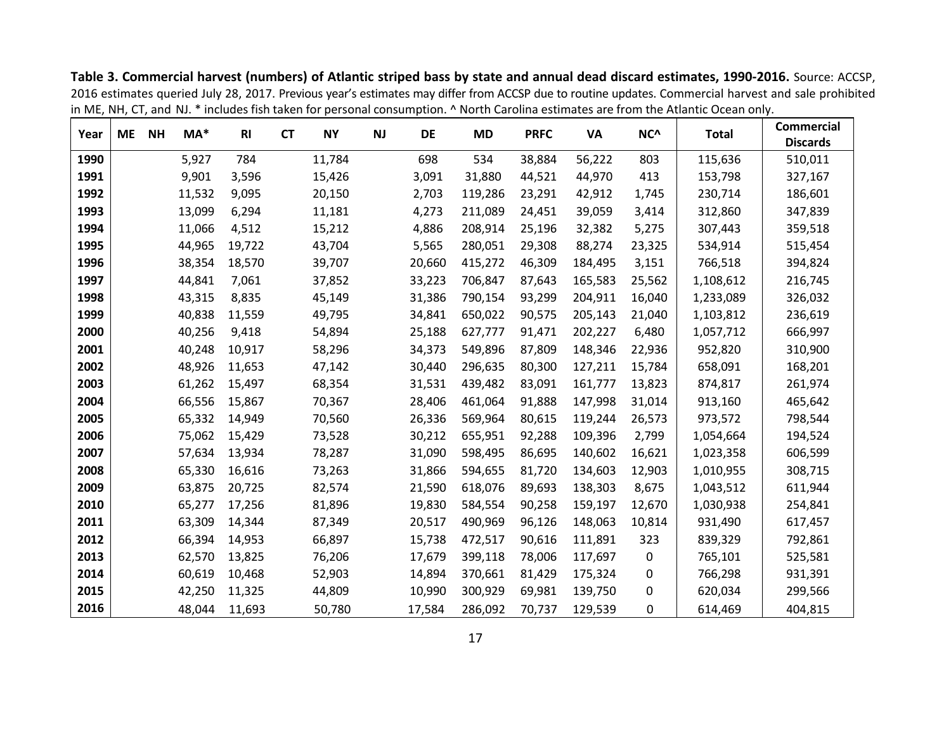| Year | <b>ME</b> | <b>NH</b> | $MA*$  | <b>RI</b> | <b>CT</b> | <b>NY</b> | NJ | DE     | <b>MD</b> | <b>PRFC</b> | VA      | NC^    | <b>Total</b> | <b>Commercial</b> |
|------|-----------|-----------|--------|-----------|-----------|-----------|----|--------|-----------|-------------|---------|--------|--------------|-------------------|
|      |           |           |        |           |           |           |    |        |           |             |         |        |              | <b>Discards</b>   |
| 1990 |           |           | 5,927  | 784       |           | 11,784    |    | 698    | 534       | 38,884      | 56,222  | 803    | 115,636      | 510,011           |
| 1991 |           |           | 9,901  | 3,596     |           | 15,426    |    | 3,091  | 31,880    | 44,521      | 44,970  | 413    | 153,798      | 327,167           |
| 1992 |           |           | 11,532 | 9,095     |           | 20,150    |    | 2,703  | 119,286   | 23,291      | 42,912  | 1,745  | 230,714      | 186,601           |
| 1993 |           |           | 13,099 | 6,294     |           | 11,181    |    | 4,273  | 211,089   | 24,451      | 39,059  | 3,414  | 312,860      | 347,839           |
| 1994 |           |           | 11,066 | 4,512     |           | 15,212    |    | 4,886  | 208,914   | 25,196      | 32,382  | 5,275  | 307,443      | 359,518           |
| 1995 |           |           | 44,965 | 19,722    |           | 43,704    |    | 5,565  | 280,051   | 29,308      | 88,274  | 23,325 | 534,914      | 515,454           |
| 1996 |           |           | 38,354 | 18,570    |           | 39,707    |    | 20,660 | 415,272   | 46,309      | 184,495 | 3,151  | 766,518      | 394,824           |
| 1997 |           |           | 44,841 | 7,061     |           | 37,852    |    | 33,223 | 706,847   | 87,643      | 165,583 | 25,562 | 1,108,612    | 216,745           |
| 1998 |           |           | 43,315 | 8,835     |           | 45,149    |    | 31,386 | 790,154   | 93,299      | 204,911 | 16,040 | 1,233,089    | 326,032           |
| 1999 |           |           | 40,838 | 11,559    |           | 49,795    |    | 34,841 | 650,022   | 90,575      | 205,143 | 21,040 | 1,103,812    | 236,619           |
| 2000 |           |           | 40,256 | 9,418     |           | 54,894    |    | 25,188 | 627,777   | 91,471      | 202,227 | 6,480  | 1,057,712    | 666,997           |
| 2001 |           |           | 40,248 | 10,917    |           | 58,296    |    | 34,373 | 549,896   | 87,809      | 148,346 | 22,936 | 952,820      | 310,900           |
| 2002 |           |           | 48,926 | 11,653    |           | 47,142    |    | 30,440 | 296,635   | 80,300      | 127,211 | 15,784 | 658,091      | 168,201           |
| 2003 |           |           | 61,262 | 15,497    |           | 68,354    |    | 31,531 | 439,482   | 83,091      | 161,777 | 13,823 | 874,817      | 261,974           |
| 2004 |           |           | 66,556 | 15,867    |           | 70,367    |    | 28,406 | 461,064   | 91,888      | 147,998 | 31,014 | 913,160      | 465,642           |
| 2005 |           |           | 65,332 | 14,949    |           | 70,560    |    | 26,336 | 569,964   | 80,615      | 119,244 | 26,573 | 973,572      | 798,544           |
| 2006 |           |           | 75,062 | 15,429    |           | 73,528    |    | 30,212 | 655,951   | 92,288      | 109,396 | 2,799  | 1,054,664    | 194,524           |
| 2007 |           |           | 57,634 | 13,934    |           | 78,287    |    | 31,090 | 598,495   | 86,695      | 140,602 | 16,621 | 1,023,358    | 606,599           |
| 2008 |           |           | 65,330 | 16,616    |           | 73,263    |    | 31,866 | 594,655   | 81,720      | 134,603 | 12,903 | 1,010,955    | 308,715           |
| 2009 |           |           | 63,875 | 20,725    |           | 82,574    |    | 21,590 | 618,076   | 89,693      | 138,303 | 8,675  | 1,043,512    | 611,944           |
| 2010 |           |           | 65,277 | 17,256    |           | 81,896    |    | 19,830 | 584,554   | 90,258      | 159,197 | 12,670 | 1,030,938    | 254,841           |
| 2011 |           |           | 63,309 | 14,344    |           | 87,349    |    | 20,517 | 490,969   | 96,126      | 148,063 | 10,814 | 931,490      | 617,457           |
| 2012 |           |           | 66,394 | 14,953    |           | 66,897    |    | 15,738 | 472,517   | 90,616      | 111,891 | 323    | 839,329      | 792,861           |
| 2013 |           |           | 62,570 | 13,825    |           | 76,206    |    | 17,679 | 399,118   | 78,006      | 117,697 | 0      | 765,101      | 525,581           |
| 2014 |           |           | 60,619 | 10,468    |           | 52,903    |    | 14,894 | 370,661   | 81,429      | 175,324 | 0      | 766,298      | 931,391           |
| 2015 |           |           | 42,250 | 11,325    |           | 44,809    |    | 10,990 | 300,929   | 69,981      | 139,750 | 0      | 620,034      | 299,566           |
| 2016 |           |           | 48,044 | 11,693    |           | 50,780    |    | 17,584 | 286,092   | 70,737      | 129,539 | 0      | 614,469      | 404,815           |

Table 3. Commercial harvest (numbers) of Atlantic striped bass by state and annual dead discard estimates, 1990-2016. Source: ACCSP, 2016 estimates queried July 28, 2017. Previous year's estimates may differ from ACCSP due to routine updates. Commercial harvest and sale prohibited in ME, NH, CT, and NJ. \* includes fish taken for personal consumption. ^ North Carolina estimates are from the Atlantic Ocean only.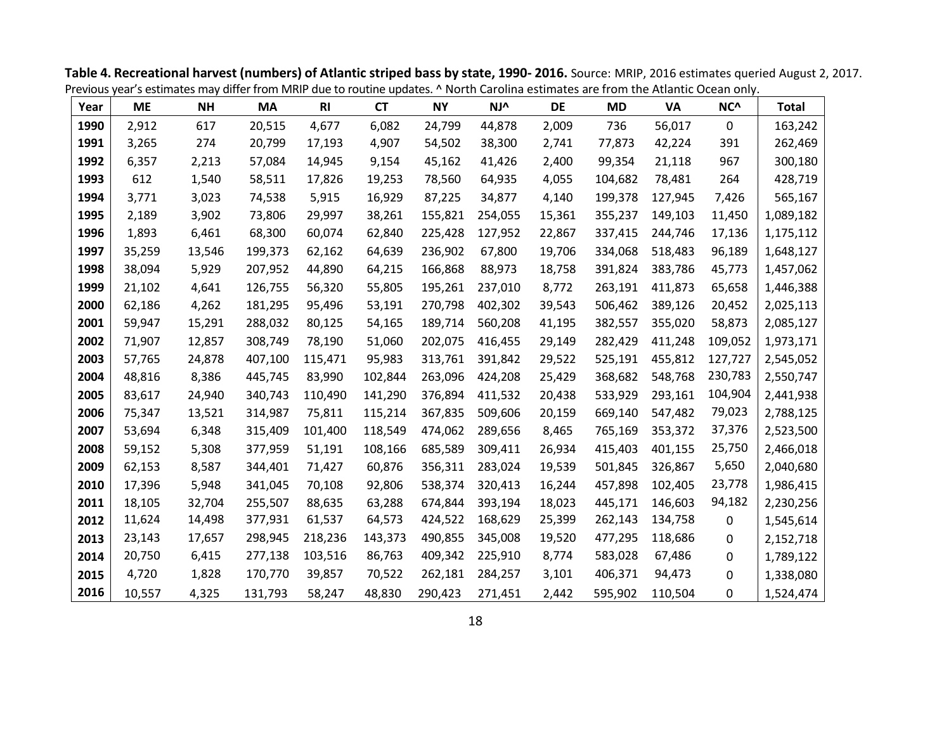| Year | ME     | <b>NH</b> | <b>MA</b> | <b>RI</b> | <b>CT</b> | <b>NY</b> | <b>NJ^</b> | DE     | <b>MD</b> | <b>VA</b> | NC <sup>^</sup> | <b>Total</b> |
|------|--------|-----------|-----------|-----------|-----------|-----------|------------|--------|-----------|-----------|-----------------|--------------|
| 1990 | 2,912  | 617       | 20,515    | 4,677     | 6,082     | 24,799    | 44,878     | 2,009  | 736       | 56,017    | $\mathbf 0$     | 163,242      |
|      |        |           |           |           |           |           |            |        |           |           |                 |              |
| 1991 | 3,265  | 274       | 20,799    | 17,193    | 4,907     | 54,502    | 38,300     | 2,741  | 77,873    | 42,224    | 391             | 262,469      |
| 1992 | 6,357  | 2,213     | 57,084    | 14,945    | 9,154     | 45,162    | 41,426     | 2,400  | 99,354    | 21,118    | 967             | 300,180      |
| 1993 | 612    | 1,540     | 58,511    | 17,826    | 19,253    | 78,560    | 64,935     | 4,055  | 104,682   | 78,481    | 264             | 428,719      |
| 1994 | 3,771  | 3,023     | 74,538    | 5,915     | 16,929    | 87,225    | 34,877     | 4,140  | 199,378   | 127,945   | 7,426           | 565,167      |
| 1995 | 2,189  | 3,902     | 73,806    | 29,997    | 38,261    | 155,821   | 254,055    | 15,361 | 355,237   | 149,103   | 11,450          | 1,089,182    |
| 1996 | 1,893  | 6,461     | 68,300    | 60,074    | 62,840    | 225,428   | 127,952    | 22,867 | 337,415   | 244,746   | 17,136          | 1,175,112    |
| 1997 | 35,259 | 13,546    | 199,373   | 62,162    | 64,639    | 236,902   | 67,800     | 19,706 | 334,068   | 518,483   | 96,189          | 1,648,127    |
| 1998 | 38,094 | 5,929     | 207,952   | 44,890    | 64,215    | 166,868   | 88,973     | 18,758 | 391,824   | 383,786   | 45,773          | 1,457,062    |
| 1999 | 21,102 | 4,641     | 126,755   | 56,320    | 55,805    | 195,261   | 237,010    | 8,772  | 263,191   | 411,873   | 65,658          | 1,446,388    |
| 2000 | 62,186 | 4,262     | 181,295   | 95,496    | 53,191    | 270,798   | 402,302    | 39,543 | 506,462   | 389,126   | 20,452          | 2,025,113    |
| 2001 | 59,947 | 15,291    | 288,032   | 80,125    | 54,165    | 189,714   | 560,208    | 41,195 | 382,557   | 355,020   | 58,873          | 2,085,127    |
| 2002 | 71,907 | 12,857    | 308,749   | 78,190    | 51,060    | 202,075   | 416,455    | 29,149 | 282,429   | 411,248   | 109,052         | 1,973,171    |
| 2003 | 57,765 | 24,878    | 407,100   | 115,471   | 95,983    | 313,761   | 391,842    | 29,522 | 525,191   | 455,812   | 127,727         | 2,545,052    |
| 2004 | 48,816 | 8,386     | 445,745   | 83,990    | 102,844   | 263,096   | 424,208    | 25,429 | 368,682   | 548,768   | 230,783         | 2,550,747    |
| 2005 | 83,617 | 24,940    | 340,743   | 110,490   | 141,290   | 376,894   | 411,532    | 20,438 | 533,929   | 293,161   | 104,904         | 2,441,938    |
| 2006 | 75,347 | 13,521    | 314,987   | 75,811    | 115,214   | 367,835   | 509,606    | 20,159 | 669,140   | 547,482   | 79,023          | 2,788,125    |
| 2007 | 53,694 | 6,348     | 315,409   | 101,400   | 118,549   | 474,062   | 289,656    | 8,465  | 765,169   | 353,372   | 37,376          | 2,523,500    |
| 2008 | 59,152 | 5,308     | 377,959   | 51,191    | 108,166   | 685,589   | 309,411    | 26,934 | 415,403   | 401,155   | 25,750          | 2,466,018    |
| 2009 | 62,153 | 8,587     | 344,401   | 71,427    | 60,876    | 356,311   | 283,024    | 19,539 | 501,845   | 326,867   | 5,650           | 2,040,680    |
| 2010 | 17,396 | 5,948     | 341,045   | 70,108    | 92,806    | 538,374   | 320,413    | 16,244 | 457,898   | 102,405   | 23,778          | 1,986,415    |
| 2011 | 18,105 | 32,704    | 255,507   | 88,635    | 63,288    | 674,844   | 393,194    | 18,023 | 445,171   | 146,603   | 94,182          | 2,230,256    |
| 2012 | 11,624 | 14,498    | 377,931   | 61,537    | 64,573    | 424,522   | 168,629    | 25,399 | 262,143   | 134,758   | 0               | 1,545,614    |
| 2013 | 23,143 | 17,657    | 298,945   | 218,236   | 143,373   | 490,855   | 345,008    | 19,520 | 477,295   | 118,686   | 0               | 2,152,718    |
| 2014 | 20,750 | 6,415     | 277,138   | 103,516   | 86,763    | 409,342   | 225,910    | 8,774  | 583,028   | 67,486    | 0               | 1,789,122    |
| 2015 | 4,720  | 1,828     | 170,770   | 39,857    | 70,522    | 262,181   | 284,257    | 3,101  | 406,371   | 94,473    | 0               | 1,338,080    |
| 2016 | 10,557 | 4,325     | 131,793   | 58,247    | 48,830    | 290,423   | 271,451    | 2,442  | 595,902   | 110,504   | 0               | 1,524,474    |

Table 4. Recreational harvest (numbers) of Atlantic striped bass by state, 1990- 2016. Source: MRIP, 2016 estimates queried August 2, 2017. Previous year's estimates may differ from MRIP due to routine updates. ^ North Carolina estimates are from the Atlantic Ocean only.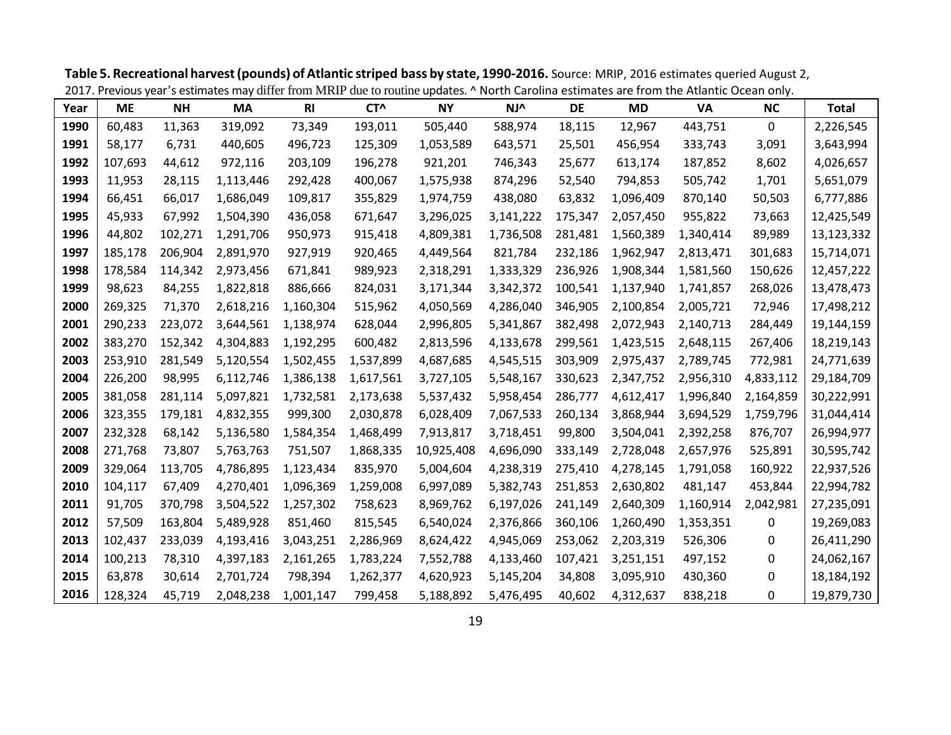|      |           |           |           |           |                 | 2017. Previous year's estimates may differ from MRIP due to routine updates. A North Carolina estimates are from the Atlantic Ocean only. |            |         |           |           |             |              |
|------|-----------|-----------|-----------|-----------|-----------------|-------------------------------------------------------------------------------------------------------------------------------------------|------------|---------|-----------|-----------|-------------|--------------|
| Year | <b>ME</b> | <b>NH</b> | <b>MA</b> | <b>RI</b> | CT <sup>^</sup> | <b>NY</b>                                                                                                                                 | <b>NJ^</b> | DE      | <b>MD</b> | VA        | <b>NC</b>   | <b>Total</b> |
| 1990 | 60,483    | 11,363    | 319,092   | 73,349    | 193,011         | 505,440                                                                                                                                   | 588,974    | 18,115  | 12,967    | 443,751   | $\mathbf 0$ | 2,226,545    |
| 1991 | 58,177    | 6,731     | 440,605   | 496,723   | 125,309         | 1,053,589                                                                                                                                 | 643,571    | 25,501  | 456,954   | 333,743   | 3,091       | 3,643,994    |
| 1992 | 107,693   | 44,612    | 972,116   | 203,109   | 196,278         | 921,201                                                                                                                                   | 746,343    | 25,677  | 613,174   | 187,852   | 8,602       | 4,026,657    |
| 1993 | 11,953    | 28,115    | 1,113,446 | 292,428   | 400,067         | 1,575,938                                                                                                                                 | 874,296    | 52,540  | 794,853   | 505,742   | 1,701       | 5,651,079    |
| 1994 | 66,451    | 66,017    | 1,686,049 | 109,817   | 355,829         | 1,974,759                                                                                                                                 | 438,080    | 63,832  | 1,096,409 | 870,140   | 50,503      | 6,777,886    |
| 1995 | 45,933    | 67,992    | 1,504,390 | 436,058   | 671,647         | 3,296,025                                                                                                                                 | 3,141,222  | 175,347 | 2,057,450 | 955,822   | 73,663      | 12,425,549   |
| 1996 | 44,802    | 102,271   | 1,291,706 | 950,973   | 915,418         | 4,809,381                                                                                                                                 | 1,736,508  | 281,481 | 1,560,389 | 1,340,414 | 89,989      | 13,123,332   |
| 1997 | 185,178   | 206,904   | 2,891,970 | 927,919   | 920,465         | 4,449,564                                                                                                                                 | 821,784    | 232,186 | 1,962,947 | 2,813,471 | 301,683     | 15,714,071   |
| 1998 | 178,584   | 114,342   | 2,973,456 | 671,841   | 989,923         | 2,318,291                                                                                                                                 | 1,333,329  | 236,926 | 1,908,344 | 1,581,560 | 150,626     | 12,457,222   |
| 1999 | 98,623    | 84,255    | 1,822,818 | 886,666   | 824,031         | 3,171,344                                                                                                                                 | 3,342,372  | 100,541 | 1,137,940 | 1,741,857 | 268,026     | 13,478,473   |
| 2000 | 269,325   | 71,370    | 2,618,216 | 1,160,304 | 515,962         | 4,050,569                                                                                                                                 | 4,286,040  | 346,905 | 2,100,854 | 2,005,721 | 72,946      | 17,498,212   |
| 2001 | 290,233   | 223,072   | 3,644,561 | 1,138,974 | 628,044         | 2,996,805                                                                                                                                 | 5,341,867  | 382,498 | 2,072,943 | 2,140,713 | 284,449     | 19,144,159   |
| 2002 | 383,270   | 152,342   | 4,304,883 | 1,192,295 | 600,482         | 2,813,596                                                                                                                                 | 4,133,678  | 299,561 | 1,423,515 | 2,648,115 | 267,406     | 18,219,143   |
| 2003 | 253,910   | 281,549   | 5,120,554 | 1,502,455 | 1,537,899       | 4,687,685                                                                                                                                 | 4,545,515  | 303,909 | 2,975,437 | 2,789,745 | 772,981     | 24,771,639   |
| 2004 | 226,200   | 98,995    | 6,112,746 | 1,386,138 | 1,617,561       | 3,727,105                                                                                                                                 | 5,548,167  | 330,623 | 2,347,752 | 2,956,310 | 4,833,112   | 29,184,709   |
| 2005 | 381,058   | 281,114   | 5,097,821 | 1,732,581 | 2,173,638       | 5,537,432                                                                                                                                 | 5,958,454  | 286,777 | 4,612,417 | 1,996,840 | 2,164,859   | 30,222,991   |
| 2006 | 323,355   | 179,181   | 4,832,355 | 999,300   | 2,030,878       | 6,028,409                                                                                                                                 | 7,067,533  | 260,134 | 3,868,944 | 3,694,529 | 1,759,796   | 31,044,414   |
| 2007 | 232,328   | 68,142    | 5,136,580 | 1,584,354 | 1,468,499       | 7,913,817                                                                                                                                 | 3,718,451  | 99,800  | 3,504,041 | 2,392,258 | 876,707     | 26,994,977   |
| 2008 | 271,768   | 73,807    | 5,763,763 | 751,507   | 1,868,335       | 10,925,408                                                                                                                                | 4,696,090  | 333,149 | 2,728,048 | 2,657,976 | 525,891     | 30,595,742   |
| 2009 | 329,064   | 113,705   | 4,786,895 | 1,123,434 | 835,970         | 5,004,604                                                                                                                                 | 4,238,319  | 275,410 | 4,278,145 | 1,791,058 | 160,922     | 22,937,526   |
| 2010 | 104,117   | 67,409    | 4,270,401 | 1,096,369 | 1,259,008       | 6,997,089                                                                                                                                 | 5,382,743  | 251,853 | 2,630,802 | 481,147   | 453,844     | 22,994,782   |
| 2011 | 91,705    | 370,798   | 3,504,522 | 1,257,302 | 758,623         | 8,969,762                                                                                                                                 | 6,197,026  | 241,149 | 2,640,309 | 1,160,914 | 2,042,981   | 27,235,091   |
| 2012 | 57,509    | 163,804   | 5,489,928 | 851,460   | 815,545         | 6,540,024                                                                                                                                 | 2,376,866  | 360,106 | 1,260,490 | 1,353,351 | 0           | 19,269,083   |
| 2013 | 102,437   | 233,039   | 4,193,416 | 3,043,251 | 2,286,969       | 8,624,422                                                                                                                                 | 4,945,069  | 253,062 | 2,203,319 | 526,306   | 0           | 26,411,290   |
| 2014 | 100,213   | 78,310    | 4,397,183 | 2,161,265 | 1,783,224       | 7,552,788                                                                                                                                 | 4,133,460  | 107,421 | 3,251,151 | 497,152   | 0           | 24,062,167   |
| 2015 | 63,878    | 30,614    | 2,701,724 | 798,394   | 1,262,377       | 4,620,923                                                                                                                                 | 5,145,204  | 34,808  | 3,095,910 | 430,360   | 0           | 18,184,192   |
| 2016 | 128,324   | 45,719    | 2,048,238 | 1,001,147 | 799,458         | 5,188,892                                                                                                                                 | 5,476,495  | 40,602  | 4,312,637 | 838,218   | 0           | 19,879,730   |

**Table 5. Recreational harvest(pounds) ofAtlantic striped bass by state, 1990‐2016.** Source: MRIP, <sup>2016</sup> estimates queried August 2,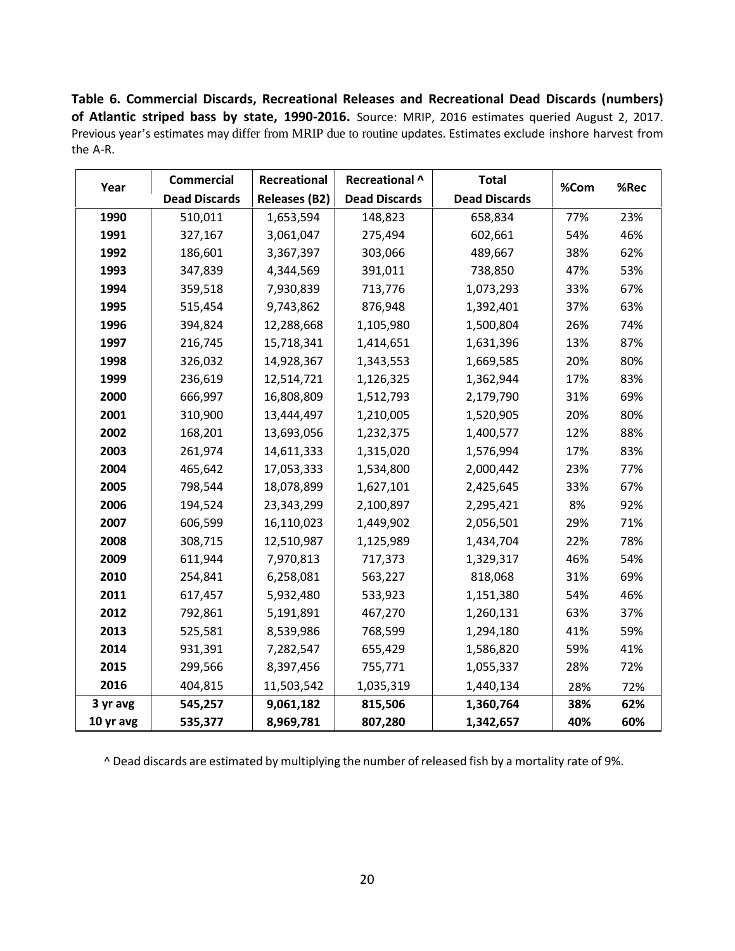**Table 6. Commercial Discards, Recreational Releases and Recreational Dead Discards (numbers) of Atlantic striped bass by state, 1990‐2016.** Source: MRIP, 2016 estimates queried August 2, 2017. Previous year's estimates may differ from MRIP due to routine updates. Estimates exclude inshore harvest from the A‐R.

| Year      | <b>Commercial</b>    | Recreational         | Recreational ^         | <b>Total</b>         | %Com | %Rec |
|-----------|----------------------|----------------------|------------------------|----------------------|------|------|
|           | <b>Dead Discards</b> | <b>Releases (B2)</b> | <b>Dead Discards</b>   | <b>Dead Discards</b> |      |      |
| 1990      | 510,011              | 1,653,594            | 148,823                | 658,834              | 77%  | 23%  |
| 1991      | 327,167              | 3,061,047            | 275,494                | 602,661              | 54%  | 46%  |
| 1992      | 186,601              | 3,367,397            | 303,066                | 489,667              | 38%  | 62%  |
| 1993      | 347,839              | 4,344,569            | 391,011                | 738,850              | 47%  | 53%  |
| 1994      | 359,518              | 7,930,839            | 713,776                | 1,073,293            | 33%  | 67%  |
| 1995      | 515,454              | 9,743,862            | 876,948                | 1,392,401            | 37%  | 63%  |
| 1996      | 394,824              | 12,288,668           | 1,105,980<br>1,500,804 |                      | 26%  | 74%  |
| 1997      | 216,745              | 15,718,341           | 1,414,651              | 1,631,396            | 13%  | 87%  |
| 1998      | 326,032              | 14,928,367           | 1,343,553              | 1,669,585            | 20%  | 80%  |
| 1999      | 236,619              | 12,514,721           | 1,126,325              | 1,362,944            | 17%  | 83%  |
| 2000      | 666,997              | 16,808,809           | 1,512,793              | 2,179,790            | 31%  | 69%  |
| 2001      | 310,900              | 13,444,497           | 1,210,005              | 1,520,905            | 20%  | 80%  |
| 2002      | 168,201              | 13,693,056           | 1,232,375              | 1,400,577            | 12%  | 88%  |
| 2003      | 261,974              | 14,611,333           | 1,315,020              | 1,576,994            | 17%  | 83%  |
| 2004      | 465,642              | 17,053,333           | 1,534,800              | 2,000,442            | 23%  | 77%  |
| 2005      | 798,544              | 18,078,899           | 1,627,101              | 2,425,645            | 33%  | 67%  |
| 2006      | 194,524              | 23,343,299           | 2,100,897              | 2,295,421            | 8%   | 92%  |
| 2007      | 606,599              | 16,110,023           | 1,449,902              | 2,056,501            | 29%  | 71%  |
| 2008      | 308,715              | 12,510,987           | 1,125,989              | 1,434,704            | 22%  | 78%  |
| 2009      | 611,944              | 7,970,813            | 717,373                | 1,329,317            | 46%  | 54%  |
| 2010      | 254,841              | 6,258,081            | 563,227                | 818,068              | 31%  | 69%  |
| 2011      | 617,457              | 5,932,480            | 533,923                | 1,151,380            | 54%  | 46%  |
| 2012      | 792,861              | 5,191,891            | 467,270                | 1,260,131            | 63%  | 37%  |
| 2013      | 525,581              | 8,539,986            | 768,599                | 1,294,180            | 41%  | 59%  |
| 2014      | 931,391              | 7,282,547            | 655,429                | 1,586,820            | 59%  | 41%  |
| 2015      | 299,566              | 8,397,456            | 755,771                | 1,055,337            | 28%  | 72%  |
| 2016      | 404,815              | 11,503,542           | 1,035,319              | 1,440,134            | 28%  | 72%  |
| 3 yr avg  | 545,257              | 9,061,182            | 815,506                | 1,360,764            | 38%  | 62%  |
| 10 yr avg | 535,377              | 8,969,781            | 807,280                | 1,342,657            | 40%  | 60%  |

^ Dead discards are estimated by multiplying the number of released fish by a mortality rate of 9%.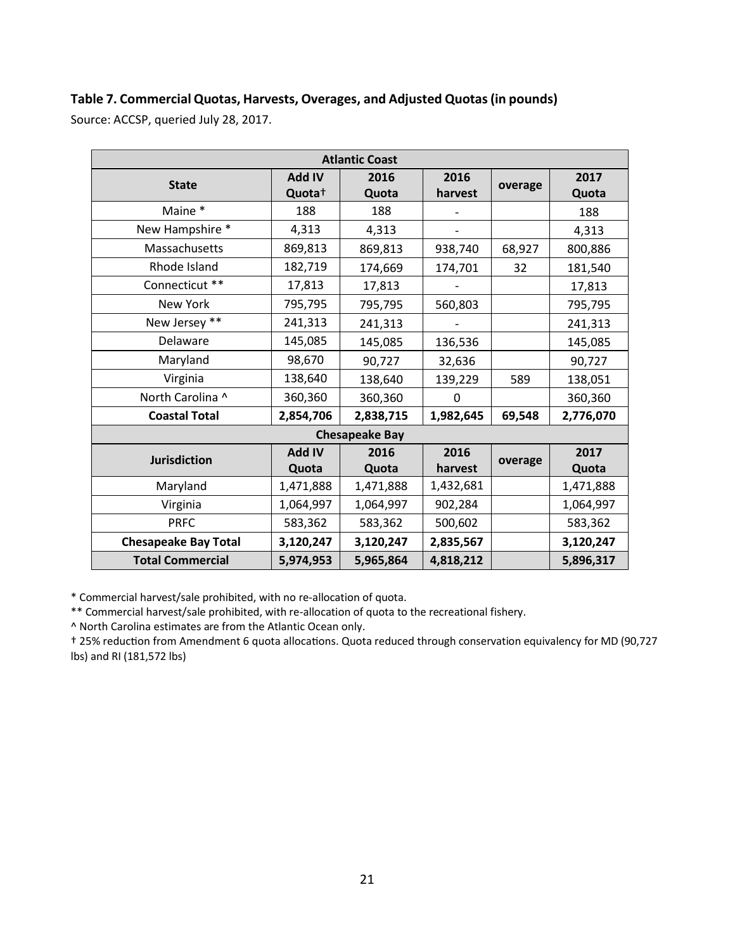#### **Table 7. Commercial Quotas, Harvests, Overages, and Adjusted Quotas(in pounds)**

Source: ACCSP, queried July 28, 2017.

| <b>Atlantic Coast</b>       |                    |                       |           |         |           |  |  |  |  |
|-----------------------------|--------------------|-----------------------|-----------|---------|-----------|--|--|--|--|
| <b>State</b>                | <b>Add IV</b>      | 2016                  | 2016      | overage | 2017      |  |  |  |  |
|                             | Quota <sup>+</sup> | Quota                 | harvest   |         | Quota     |  |  |  |  |
| Maine *                     | 188                | 188                   |           |         | 188       |  |  |  |  |
| New Hampshire *             | 4,313              | 4,313                 |           |         | 4,313     |  |  |  |  |
| Massachusetts               | 869,813            | 869,813               | 938,740   | 68,927  | 800,886   |  |  |  |  |
| Rhode Island                | 182,719            | 174,669               | 174,701   | 32      | 181,540   |  |  |  |  |
| Connecticut **              | 17,813             | 17,813                |           |         | 17,813    |  |  |  |  |
| New York                    | 795,795            | 795,795               | 560,803   |         | 795,795   |  |  |  |  |
| New Jersey **               | 241,313            | 241,313               |           |         | 241,313   |  |  |  |  |
| Delaware                    | 145,085            | 145,085               | 136,536   |         | 145,085   |  |  |  |  |
| Maryland                    | 98,670             | 90,727                | 32,636    |         | 90,727    |  |  |  |  |
| Virginia                    | 138,640            | 138,640               | 139,229   | 589     | 138,051   |  |  |  |  |
| North Carolina ^            | 360,360            | 360,360               | $\Omega$  |         | 360,360   |  |  |  |  |
| <b>Coastal Total</b>        | 2,854,706          | 2,838,715             | 1,982,645 | 69,548  | 2,776,070 |  |  |  |  |
|                             |                    | <b>Chesapeake Bay</b> |           |         |           |  |  |  |  |
| <b>Jurisdiction</b>         | <b>Add IV</b>      | 2016                  | 2016      |         | 2017      |  |  |  |  |
|                             | Quota              | Quota                 | harvest   | overage | Quota     |  |  |  |  |
| Maryland                    | 1,471,888          | 1,471,888             | 1,432,681 |         | 1,471,888 |  |  |  |  |
| Virginia                    | 1,064,997          | 1,064,997             | 902,284   |         | 1,064,997 |  |  |  |  |
| <b>PRFC</b>                 | 583,362            | 583,362               | 500,602   |         | 583,362   |  |  |  |  |
| <b>Chesapeake Bay Total</b> | 3,120,247          | 3,120,247             | 2,835,567 |         | 3,120,247 |  |  |  |  |
| <b>Total Commercial</b>     | 5,974,953          | 5,965,864             | 4,818,212 |         | 5,896,317 |  |  |  |  |

\* Commercial harvest/sale prohibited, with no re‐allocation of quota.

\*\* Commercial harvest/sale prohibited, with re‐allocation of quota to the recreational fishery.

^ North Carolina estimates are from the Atlantic Ocean only.

† 25% reducƟon from Amendment 6 quota allocaƟons. Quota reduced through conservation equivalency for MD (90,727 lbs) and RI (181,572 lbs)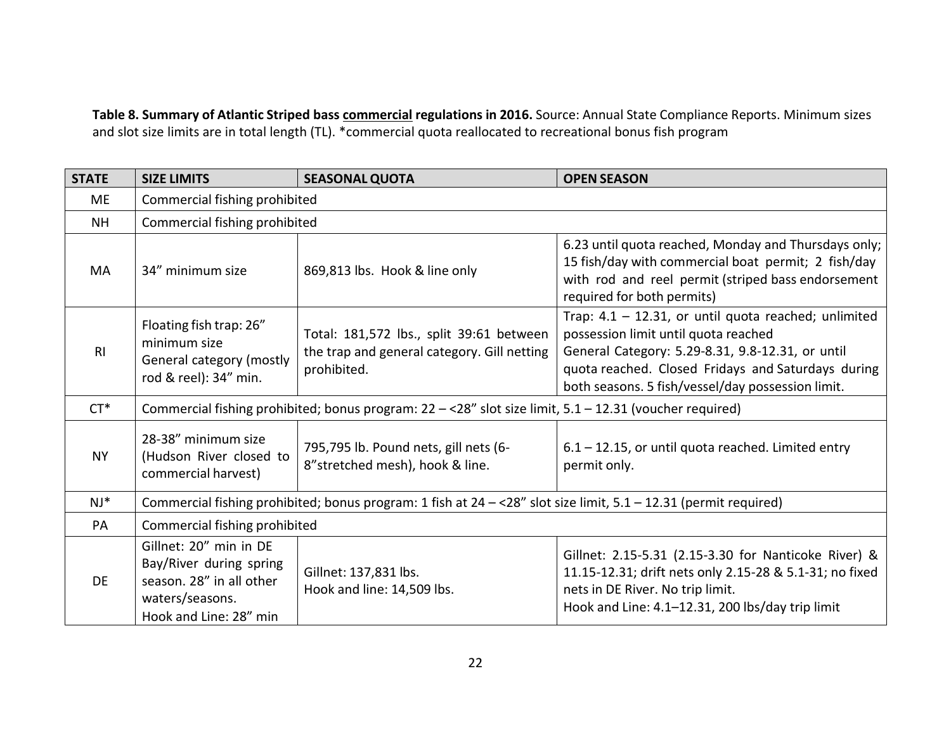**Table 8. Summary of Atlantic Striped bass commercial regulations in 2016.** Source: Annual State Compliance Reports. Minimum sizes and slot size limits are in total length (TL). \*commercial quota reallocated to recreational bonus fish program

| <b>STATE</b>   | <b>SIZE LIMITS</b>                                                                                                         | <b>SEASONAL QUOTA</b>                                                                                             | <b>OPEN SEASON</b>                                                                                                                                                                                                                                             |  |  |  |  |
|----------------|----------------------------------------------------------------------------------------------------------------------------|-------------------------------------------------------------------------------------------------------------------|----------------------------------------------------------------------------------------------------------------------------------------------------------------------------------------------------------------------------------------------------------------|--|--|--|--|
| <b>ME</b>      | Commercial fishing prohibited                                                                                              |                                                                                                                   |                                                                                                                                                                                                                                                                |  |  |  |  |
| <b>NH</b>      | Commercial fishing prohibited                                                                                              |                                                                                                                   |                                                                                                                                                                                                                                                                |  |  |  |  |
| MA             | 34" minimum size                                                                                                           | 869,813 lbs. Hook & line only                                                                                     | 6.23 until quota reached, Monday and Thursdays only;<br>15 fish/day with commercial boat permit; 2 fish/day<br>with rod and reel permit (striped bass endorsement<br>required for both permits)                                                                |  |  |  |  |
| R <sub>l</sub> | Floating fish trap: 26"<br>minimum size<br>General category (mostly<br>rod & reel): 34" min.                               | Total: 181,572 lbs., split 39:61 between<br>the trap and general category. Gill netting<br>prohibited.            | Trap: $4.1 - 12.31$ , or until quota reached; unlimited<br>possession limit until quota reached<br>General Category: 5.29-8.31, 9.8-12.31, or until<br>quota reached. Closed Fridays and Saturdays during<br>both seasons. 5 fish/vessel/day possession limit. |  |  |  |  |
| $CT^*$         |                                                                                                                            | Commercial fishing prohibited; bonus program: $22 - 28$ " slot size limit, $5.1 - 12.31$ (voucher required)       |                                                                                                                                                                                                                                                                |  |  |  |  |
| <b>NY</b>      | 28-38" minimum size<br>(Hudson River closed to<br>commercial harvest)                                                      | 795,795 lb. Pound nets, gill nets (6-<br>8"stretched mesh), hook & line.                                          | $6.1 - 12.15$ , or until quota reached. Limited entry<br>permit only.                                                                                                                                                                                          |  |  |  |  |
| $NJ*$          |                                                                                                                            | Commercial fishing prohibited; bonus program: 1 fish at 24 - < 28" slot size limit, 5.1 - 12.31 (permit required) |                                                                                                                                                                                                                                                                |  |  |  |  |
| PA             | Commercial fishing prohibited                                                                                              |                                                                                                                   |                                                                                                                                                                                                                                                                |  |  |  |  |
| <b>DE</b>      | Gillnet: 20" min in DE<br>Bay/River during spring<br>season. 28" in all other<br>waters/seasons.<br>Hook and Line: 28" min | Gillnet: 137,831 lbs.<br>Hook and line: 14,509 lbs.                                                               | Gillnet: 2.15-5.31 (2.15-3.30 for Nanticoke River) &<br>11.15-12.31; drift nets only 2.15-28 & 5.1-31; no fixed<br>nets in DE River. No trip limit.<br>Hook and Line: 4.1-12.31, 200 lbs/day trip limit                                                        |  |  |  |  |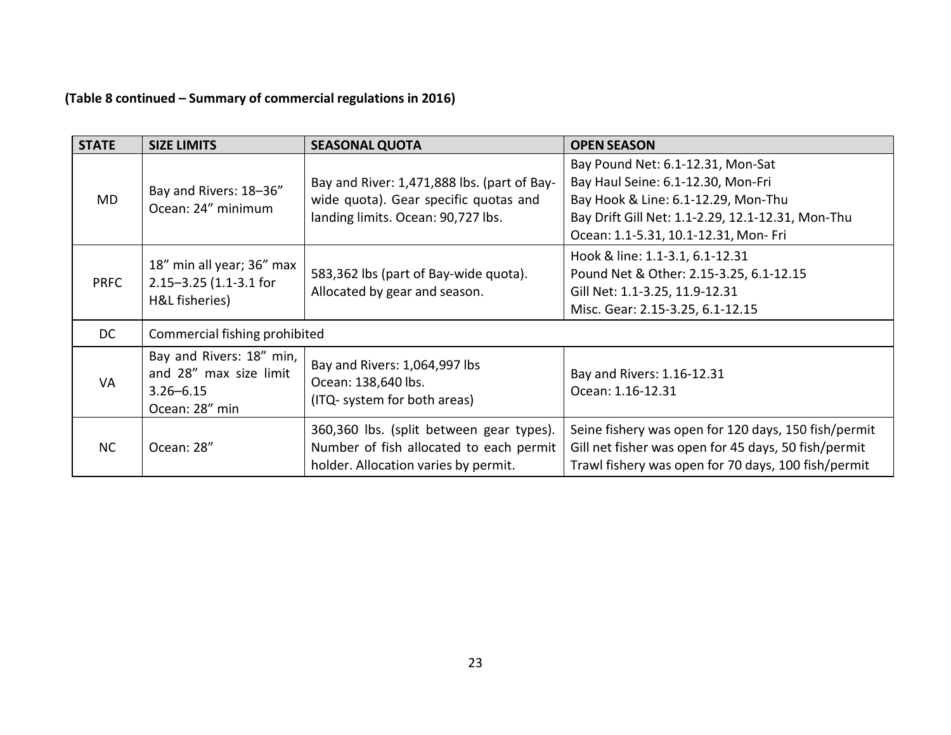# **(Table 8 continued – Summary of commercial regulations in 2016)**

| <b>STATE</b> | <b>SIZE LIMITS</b>                           | <b>SEASONAL QUOTA</b>                       | <b>OPEN SEASON</b>                                   |  |  |  |  |
|--------------|----------------------------------------------|---------------------------------------------|------------------------------------------------------|--|--|--|--|
| <b>MD</b>    |                                              |                                             | Bay Pound Net: 6.1-12.31, Mon-Sat                    |  |  |  |  |
|              | Bay and Rivers: 18-36"<br>Ocean: 24" minimum | Bay and River: 1,471,888 lbs. (part of Bay- | Bay Haul Seine: 6.1-12.30, Mon-Fri                   |  |  |  |  |
|              |                                              | wide quota). Gear specific quotas and       | Bay Hook & Line: 6.1-12.29, Mon-Thu                  |  |  |  |  |
|              |                                              | landing limits. Ocean: 90,727 lbs.          | Bay Drift Gill Net: 1.1-2.29, 12.1-12.31, Mon-Thu    |  |  |  |  |
|              |                                              |                                             | Ocean: 1.1-5.31, 10.1-12.31, Mon- Fri                |  |  |  |  |
| <b>PRFC</b>  | 18" min all year; 36" max                    |                                             | Hook & line: 1.1-3.1, 6.1-12.31                      |  |  |  |  |
|              | 2.15-3.25 (1.1-3.1 for<br>H&L fisheries)     | 583,362 lbs (part of Bay-wide quota).       | Pound Net & Other: 2.15-3.25, 6.1-12.15              |  |  |  |  |
|              |                                              | Allocated by gear and season.               | Gill Net: 1.1-3.25, 11.9-12.31                       |  |  |  |  |
|              |                                              |                                             | Misc. Gear: 2.15-3.25, 6.1-12.15                     |  |  |  |  |
| DC           | Commercial fishing prohibited                |                                             |                                                      |  |  |  |  |
| VA.          | Bay and Rivers: 18" min,                     | Bay and Rivers: 1,064,997 lbs               |                                                      |  |  |  |  |
|              | and 28" max size limit                       | Ocean: 138,640 lbs.                         | Bay and Rivers: 1.16-12.31                           |  |  |  |  |
|              | $3.26 - 6.15$                                | (ITQ- system for both areas)                | Ocean: 1.16-12.31                                    |  |  |  |  |
|              | Ocean: 28" min                               |                                             |                                                      |  |  |  |  |
| NC           |                                              | 360,360 lbs. (split between gear types).    | Seine fishery was open for 120 days, 150 fish/permit |  |  |  |  |
|              | Ocean: 28"                                   | Number of fish allocated to each permit     | Gill net fisher was open for 45 days, 50 fish/permit |  |  |  |  |
|              |                                              | holder. Allocation varies by permit.        | Trawl fishery was open for 70 days, 100 fish/permit  |  |  |  |  |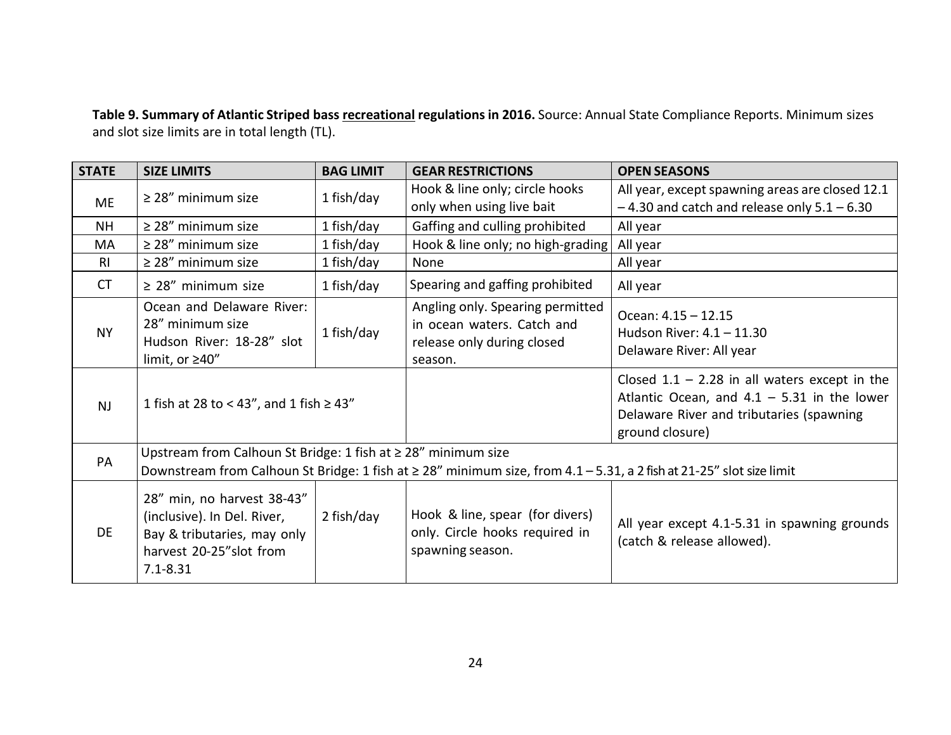**Table 9. Summary of Atlantic Striped bass recreational regulationsin 2016.** Source: Annual State Compliance Reports. Minimum sizes and slot size limits are in total length (TL).

| <b>STATE</b> | <b>BAG LIMIT</b><br><b>SIZE LIMITS</b>                                                                                                                                                |            | <b>GEAR RESTRICTIONS</b>                                                                                | <b>OPEN SEASONS</b>                                                                                                                                             |  |  |  |
|--------------|---------------------------------------------------------------------------------------------------------------------------------------------------------------------------------------|------------|---------------------------------------------------------------------------------------------------------|-----------------------------------------------------------------------------------------------------------------------------------------------------------------|--|--|--|
| <b>ME</b>    | 1 fish/day<br>$\geq$ 28" minimum size                                                                                                                                                 |            | Hook & line only; circle hooks<br>only when using live bait                                             | All year, except spawning areas are closed 12.1<br>$-4.30$ and catch and release only $5.1 - 6.30$                                                              |  |  |  |
| <b>NH</b>    | $\geq$ 28" minimum size                                                                                                                                                               | 1 fish/day | Gaffing and culling prohibited                                                                          | All year                                                                                                                                                        |  |  |  |
| MA           | $\geq$ 28" minimum size                                                                                                                                                               | 1 fish/day | Hook & line only; no high-grading                                                                       | All year                                                                                                                                                        |  |  |  |
| RI.          | $\geq$ 28" minimum size                                                                                                                                                               | 1 fish/day | None                                                                                                    | All year                                                                                                                                                        |  |  |  |
| <b>CT</b>    | 1 fish/day<br>$\geq$ 28" minimum size                                                                                                                                                 |            | Spearing and gaffing prohibited<br>All year                                                             |                                                                                                                                                                 |  |  |  |
| <b>NY</b>    | Ocean and Delaware River:<br>28" minimum size<br>1 fish/day<br>Hudson River: 18-28" slot<br>limit, or ≥40"                                                                            |            | Angling only. Spearing permitted<br>in ocean waters. Catch and<br>release only during closed<br>season. | Ocean: $4.15 - 12.15$<br>Hudson River: $4.1 - 11.30$<br>Delaware River: All year                                                                                |  |  |  |
| <b>NJ</b>    | 1 fish at 28 to < 43", and 1 fish $\geq$ 43"                                                                                                                                          |            |                                                                                                         | Closed $1.1 - 2.28$ in all waters except in the<br>Atlantic Ocean, and $4.1 - 5.31$ in the lower<br>Delaware River and tributaries (spawning<br>ground closure) |  |  |  |
| PA           | Upstream from Calhoun St Bridge: 1 fish at ≥ 28" minimum size<br>Downstream from Calhoun St Bridge: 1 fish at ≥ 28" minimum size, from 4.1 - 5.31, a 2 fish at 21-25" slot size limit |            |                                                                                                         |                                                                                                                                                                 |  |  |  |
| <b>DE</b>    | 28" min, no harvest 38-43"<br>(inclusive). In Del. River,<br>2 fish/day<br>Bay & tributaries, may only<br>harvest 20-25"slot from<br>$7.1 - 8.31$                                     |            | Hook & line, spear (for divers)<br>only. Circle hooks required in<br>spawning season.                   | All year except 4.1-5.31 in spawning grounds<br>(catch & release allowed).                                                                                      |  |  |  |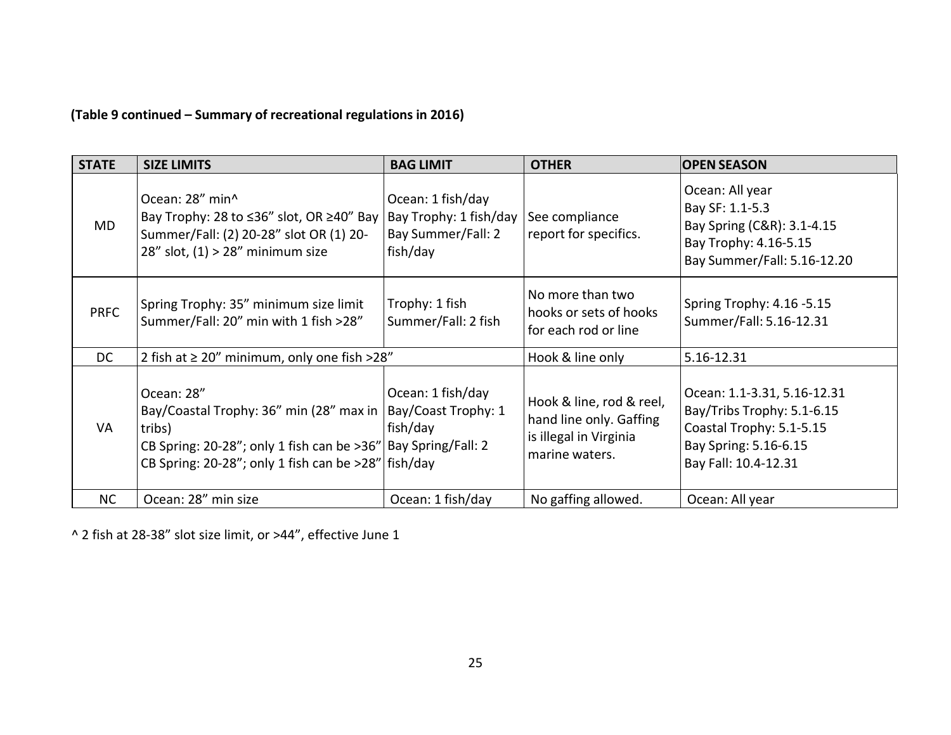# **(Table 9 continued – Summary of recreational regulations in 2016)**

| <b>STATE</b> | <b>SIZE LIMITS</b>                                                                                                                                                                      | <b>BAG LIMIT</b>                                                              | <b>OTHER</b>                                                                                    | <b>OPEN SEASON</b>                                                                                                                     |
|--------------|-----------------------------------------------------------------------------------------------------------------------------------------------------------------------------------------|-------------------------------------------------------------------------------|-------------------------------------------------------------------------------------------------|----------------------------------------------------------------------------------------------------------------------------------------|
| MD           | Ocean: 28" min^<br>Bay Trophy: 28 to ≤36" slot, OR ≥40" Bay<br>Summer/Fall: (2) 20-28" slot OR (1) 20-<br>28" slot, $(1)$ > 28" minimum size                                            | Ocean: 1 fish/day<br>Bay Trophy: 1 fish/day<br>Bay Summer/Fall: 2<br>fish/day | See compliance<br>report for specifics.                                                         | Ocean: All year<br>Bay SF: 1.1-5.3<br>Bay Spring (C&R): 3.1-4.15<br>Bay Trophy: 4.16-5.15<br>Bay Summer/Fall: 5.16-12.20               |
| <b>PRFC</b>  | Spring Trophy: 35" minimum size limit<br>Summer/Fall: 20" min with 1 fish >28"                                                                                                          | Trophy: 1 fish<br>Summer/Fall: 2 fish                                         | No more than two<br>hooks or sets of hooks<br>for each rod or line                              | Spring Trophy: 4.16 -5.15<br>Summer/Fall: 5.16-12.31                                                                                   |
| DC           | 2 fish at $\geq$ 20" minimum, only one fish >28"                                                                                                                                        |                                                                               | Hook & line only                                                                                | 5.16-12.31                                                                                                                             |
| VA           | Ocean: 28"<br>Bay/Coastal Trophy: 36" min (28" max in<br>tribs)<br>CB Spring: 20-28"; only 1 fish can be >36" Bay Spring/Fall: 2<br>CB Spring: 20-28"; only 1 fish can be >28" fish/day | Ocean: 1 fish/day<br>Bay/Coast Trophy: 1<br>fish/day                          | Hook & line, rod & reel,<br>hand line only. Gaffing<br>is illegal in Virginia<br>marine waters. | Ocean: 1.1-3.31, 5.16-12.31<br>Bay/Tribs Trophy: 5.1-6.15<br>Coastal Trophy: 5.1-5.15<br>Bay Spring: 5.16-6.15<br>Bay Fall: 10.4-12.31 |
| <b>NC</b>    | Ocean: 28" min size                                                                                                                                                                     | Ocean: 1 fish/day                                                             | No gaffing allowed.                                                                             | Ocean: All year                                                                                                                        |

^ 2 fish at 28‐38" slot size limit, or >44", effective June 1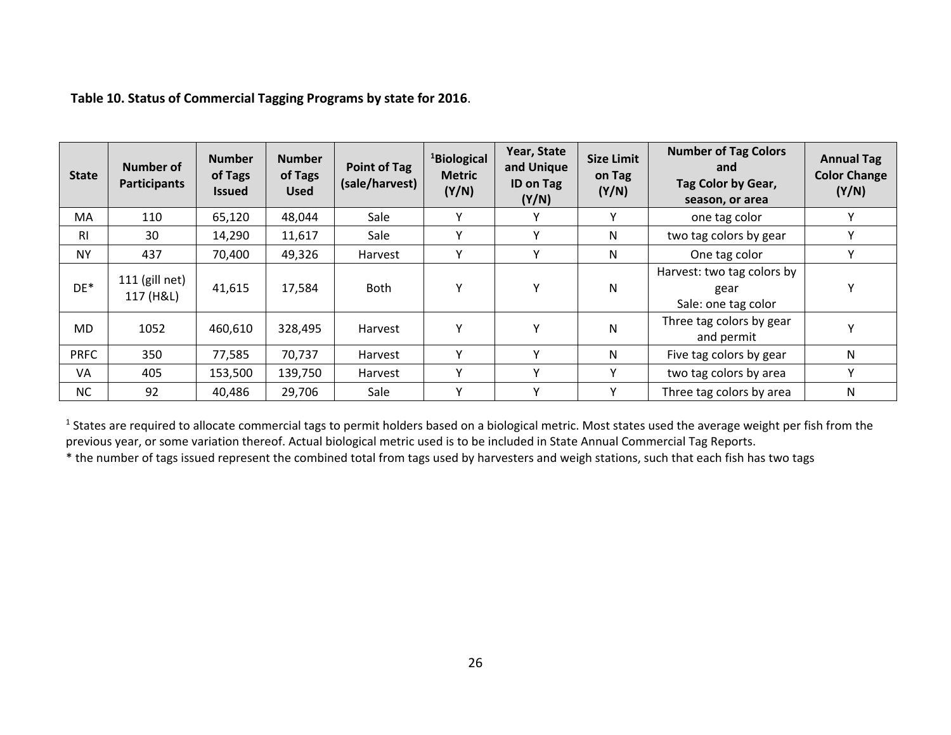| <b>State</b> | <b>Number of</b><br><b>Participants</b> | <b>Number</b><br>of Tags<br><b>Issued</b> | <b>Number</b><br>of Tags<br><b>Used</b> | <b>Point of Tag</b><br>(sale/harvest) | <sup>1</sup> Biological<br><b>Metric</b><br>(Y/N) | Year, State<br>and Unique<br><b>ID on Tag</b><br>(Y/N) | <b>Size Limit</b><br>on Tag<br>(Y/N) | <b>Number of Tag Colors</b><br>and<br>Tag Color by Gear,<br>season, or area | <b>Annual Tag</b><br><b>Color Change</b><br>(Y/N) |
|--------------|-----------------------------------------|-------------------------------------------|-----------------------------------------|---------------------------------------|---------------------------------------------------|--------------------------------------------------------|--------------------------------------|-----------------------------------------------------------------------------|---------------------------------------------------|
| MA           | 110                                     | 65,120                                    | 48,044                                  | Sale                                  | v                                                 |                                                        | Υ                                    | one tag color                                                               | Υ                                                 |
| <b>RI</b>    | 30                                      | 14,290                                    | 11,617                                  | Sale                                  | $\mathbf v$                                       |                                                        | N                                    | two tag colors by gear                                                      | γ                                                 |
| <b>NY</b>    | 437                                     | 70,400                                    | 49,326                                  | Harvest                               | Υ                                                 | Υ                                                      | N                                    | One tag color                                                               | Y                                                 |
| $DE*$        | $111$ (gill net)<br>117 (H&L)           | 41,615                                    | 17,584                                  | Both                                  | Υ                                                 | Υ                                                      | $\mathsf{N}$                         | Harvest: two tag colors by<br>gear<br>Sale: one tag color                   | Y                                                 |
| MD.          | 1052                                    | 460,610                                   | 328,495                                 | Harvest                               | Y                                                 | Υ                                                      | $\mathsf{N}$                         | Three tag colors by gear<br>and permit                                      | Y                                                 |
| <b>PRFC</b>  | 350                                     | 77,585                                    | 70,737                                  | Harvest                               | $\mathsf{v}$                                      | Υ                                                      | $\mathsf{N}$                         | Five tag colors by gear                                                     | N                                                 |
| VA           | 405                                     | 153,500                                   | 139,750                                 | Harvest                               | Y                                                 | Υ                                                      | Y                                    | two tag colors by area                                                      | Y                                                 |
| <b>NC</b>    | 92                                      | 40,486                                    | 29,706                                  | Sale                                  | $\mathbf v$                                       |                                                        | Y                                    | Three tag colors by area                                                    | N                                                 |

**Table 10. Status of Commercial Tagging Programs by state for 2016**.

 $^1$  States are required to allocate commercial tags to permit holders based on a biological metric. Most states used the average weight per fish from the previous year, or some variation thereof. Actual biological metric used is to be included in State Annual Commercial Tag Reports.

\* the number of tags issued represent the combined total from tags used by harvesters and weigh stations, such that each fish has two tags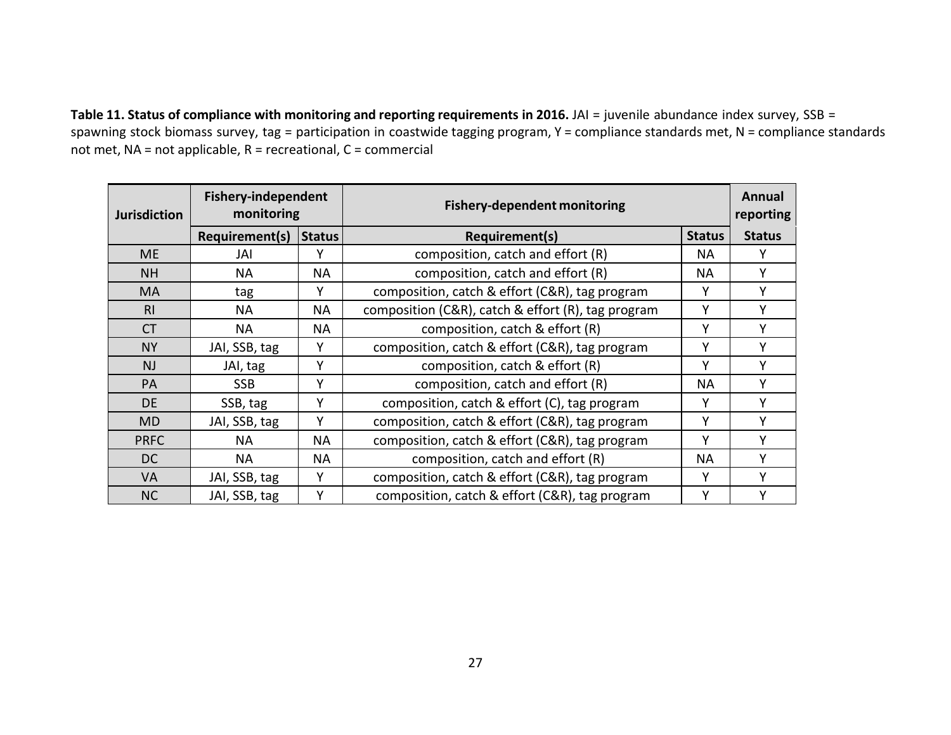**Table 11. Status of compliance with monitoring and reporting requirements in 2016.** JAI <sup>=</sup> juvenile abundance index survey, SSB <sup>=</sup> spawning stock biomass survey, tag <sup>=</sup> participation in coastwide tagging program, Y <sup>=</sup> compliance standards met, N <sup>=</sup> compliance standards not met, NA <sup>=</sup> not applicable, R <sup>=</sup> recreational, C <sup>=</sup> commercial

| <b>Jurisdiction</b> | <b>Fishery-independent</b><br>monitoring |               | <b>Fishery-dependent monitoring</b>                |           |               |
|---------------------|------------------------------------------|---------------|----------------------------------------------------|-----------|---------------|
|                     | Requirement(s)                           | <b>Status</b> | Requirement(s)                                     |           | <b>Status</b> |
| <b>ME</b>           | JAI                                      | v             | composition, catch and effort (R)                  | ΝA        | Y             |
| <b>NH</b>           | <b>NA</b>                                | <b>NA</b>     | composition, catch and effort (R)                  | <b>NA</b> | Υ             |
| MA                  | tag                                      | Υ             | composition, catch & effort (C&R), tag program     | Υ         | Y             |
| R <sub>l</sub>      | <b>NA</b>                                | <b>NA</b>     | composition (C&R), catch & effort (R), tag program | Υ         | γ             |
| <b>CT</b>           | <b>NA</b>                                | <b>NA</b>     | composition, catch & effort (R)                    | Υ         | Υ             |
| <b>NY</b>           | JAI, SSB, tag                            | Υ             | composition, catch & effort (C&R), tag program     | Υ         | γ             |
| <b>NJ</b>           | JAI, tag                                 | Υ             | composition, catch & effort (R)                    | Υ         | Υ             |
| PA                  | <b>SSB</b>                               | Υ             | composition, catch and effort (R)                  | NА        | Υ             |
| DE                  | SSB, tag                                 | Υ             | composition, catch & effort (C), tag program       | Υ         | Υ             |
| <b>MD</b>           | JAI, SSB, tag                            | Υ             | composition, catch & effort (C&R), tag program     | Υ         | γ             |
| <b>PRFC</b>         | <b>NA</b>                                | <b>NA</b>     | composition, catch & effort (C&R), tag program     | Υ         | γ             |
| DC                  | <b>NA</b>                                | <b>NA</b>     | composition, catch and effort (R)                  | <b>NA</b> | Υ             |
| <b>VA</b>           | JAI, SSB, tag                            | Y             | composition, catch & effort (C&R), tag program     | Υ         | Υ             |
| <b>NC</b>           | JAI, SSB, tag                            | Y             | composition, catch & effort (C&R), tag program     | Υ         | Y             |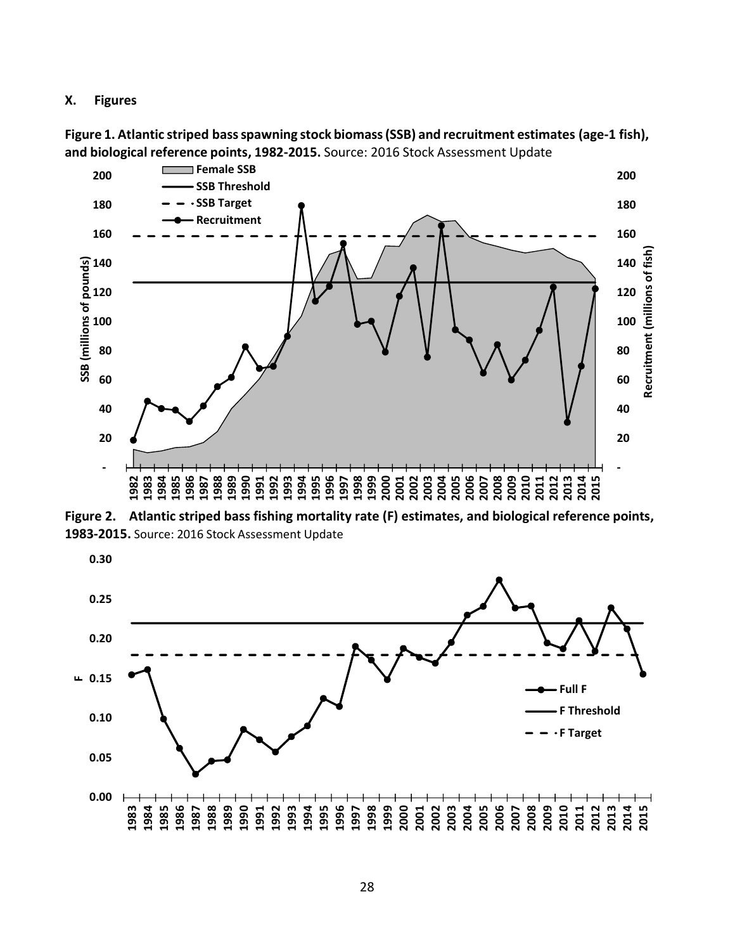#### **X. Figures**

**Figure 1. Atlantic striped bassspawning stock biomass(SSB) and recruitment estimates (age‐1 fish), and biological reference points, 1982‐2015.** Source: 2016 Stock Assessment Update



**Figure 2. Atlantic striped bass fishing mortality rate (F) estimates, and biological reference points, 1983‐2015.** Source: 2016 Stock Assessment Update

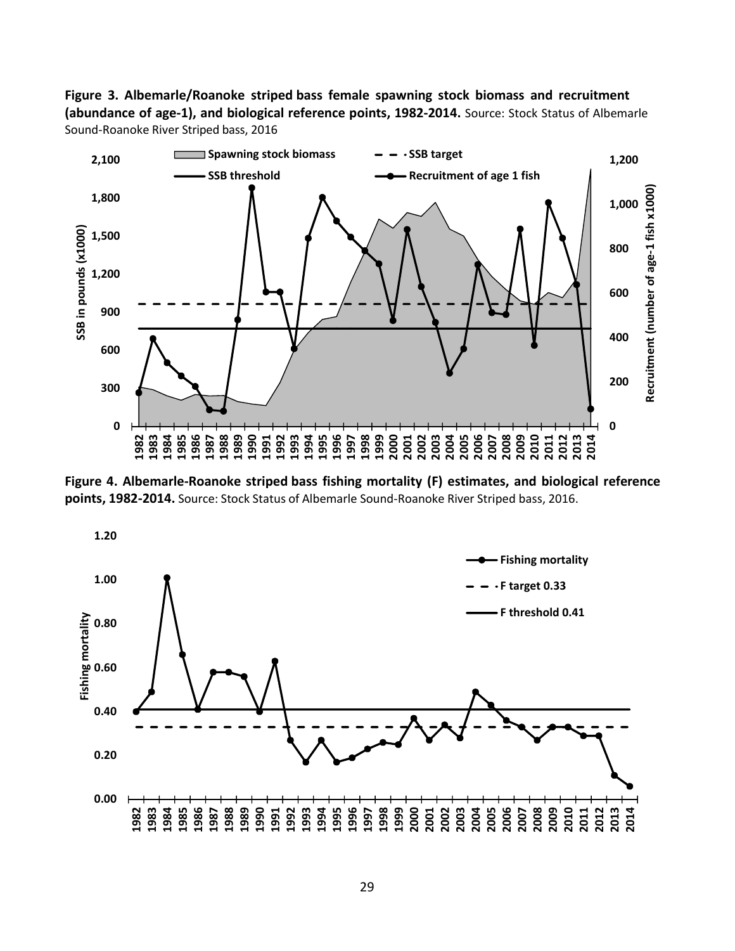**Figure 3. Albemarle/Roanoke striped bass female spawning stock biomass and recruitment (abundance of age‐1), and biological reference points, 1982‐2014.** Source: Stock Status of Albemarle Sound‐Roanoke River Striped bass, 2016



**Figure 4. Albemarle‐Roanoke striped bass fishing mortality (F) estimates, and biological reference points, 1982‐2014.** Source: Stock Status of Albemarle Sound‐Roanoke River Striped bass, 2016.

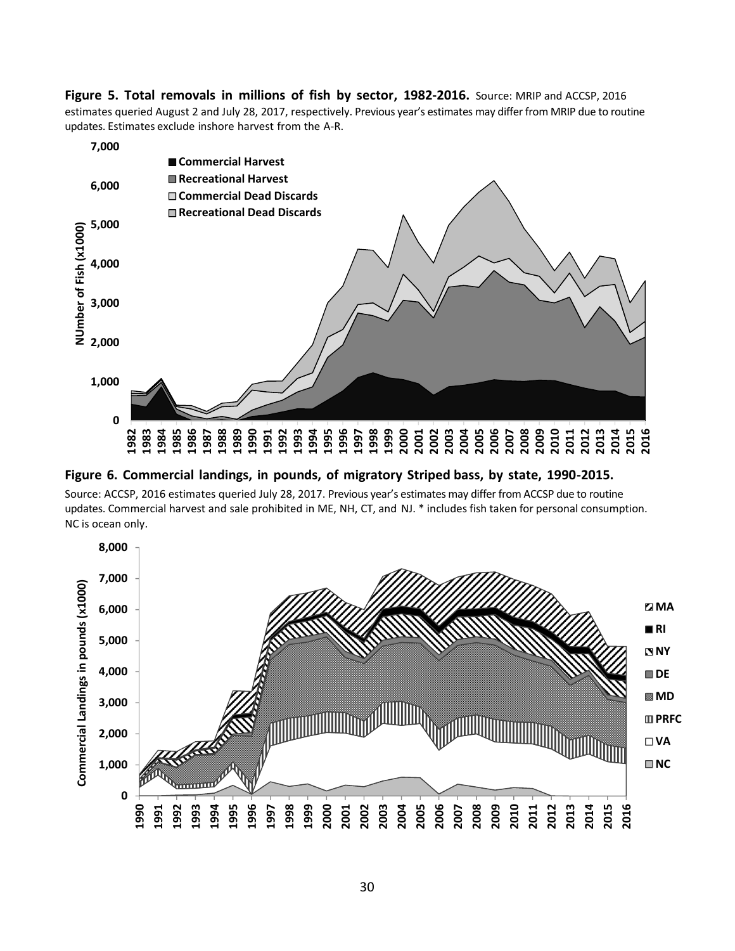**Figure 5. Total removals in millions of fish by sector, 1982‐2016.** Source: MRIP and ACCSP, 2016 estimates queried August 2 and July 28, 2017, respectively. Previous year's estimates may differ from MRIP due to routine updates. Estimates exclude inshore harvest from the A‐R.



**Figure 6. Commercial landings, in pounds, of migratory Striped bass, by state, 1990‐2015.**

Source: ACCSP, 2016 estimates queried July 28, 2017. Previous year's estimates may differ from ACCSP due to routine updates. Commercial harvest and sale prohibited in ME, NH, CT, and NJ. \* includes fish taken for personal consumption. NC is ocean only.

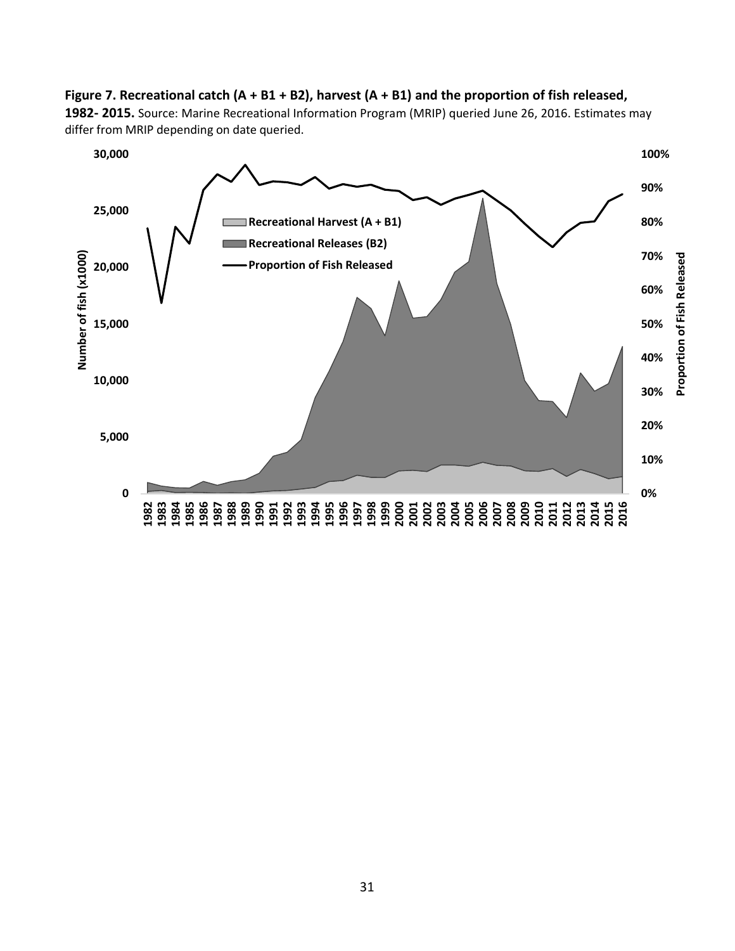#### Figure 7. Recreational catch  $(A + B1 + B2)$ , harvest  $(A + B1)$  and the proportion of fish released,

**1982‐ 2015.** Source: Marine Recreational Information Program (MRIP) queried June 26, 2016. Estimates may differ from MRIP depending on date queried.